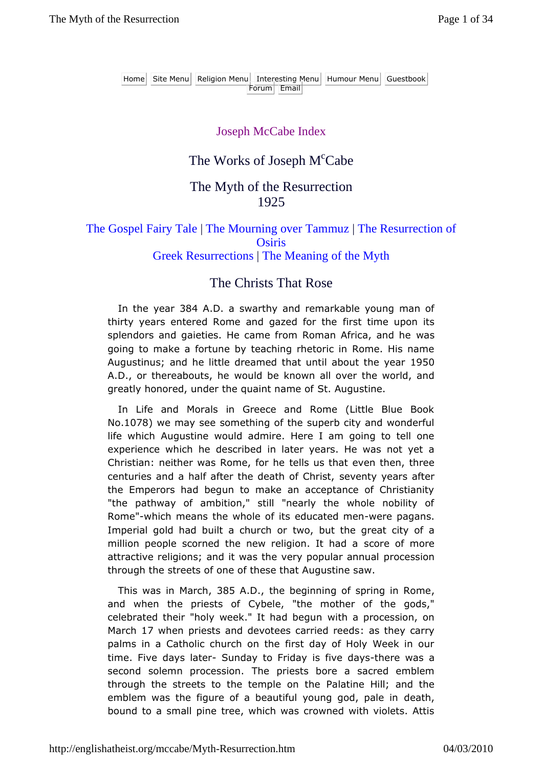Home Site Menu Religion Menu Interesting Menu Humour Menu Guestbook Forum Email

## Joseph McCabe Index

# The Works of Joseph M<sup>c</sup>Cabe

# The Myth of the Resurrection 1925

#### The Gospel Fairy Tale | The Mourning over Tammuz | The Resurrection of **Osiris** Greek Resurrections | The Meaning of the Myth

## The Christs That Rose

In the year 384 A.D. a swarthy and remarkable young man of thirty years entered Rome and gazed for the first time upon its splendors and gaieties. He came from Roman Africa, and he was going to make a fortune by teaching rhetoric in Rome. His name Augustinus; and he little dreamed that until about the year 1950 A.D., or thereabouts, he would be known all over the world, and greatly honored, under the quaint name of St. Augustine.

In Life and Morals in Greece and Rome (Little Blue Book No.1078) we may see something of the superb city and wonderful life which Augustine would admire. Here I am going to tell one experience which he described in later years. He was not yet a Christian: neither was Rome, for he tells us that even then, three centuries and a half after the death of Christ, seventy years after the Emperors had begun to make an acceptance of Christianity "the pathway of ambition," still "nearly the whole nobility of Rome"-which means the whole of its educated men-were pagans. Imperial gold had built a church or two, but the great city of a million people scorned the new religion. It had a score of more attractive religions; and it was the very popular annual procession through the streets of one of these that Augustine saw.

This was in March, 385 A.D., the beginning of spring in Rome, and when the priests of Cybele, "the mother of the gods," celebrated their "holy week." It had begun with a procession, on March 17 when priests and devotees carried reeds: as they carry palms in a Catholic church on the first day of Holy Week in our time. Five days later- Sunday to Friday is five days-there was a second solemn procession. The priests bore a sacred emblem through the streets to the temple on the Palatine Hill; and the emblem was the figure of a beautiful young god, pale in death, bound to a small pine tree, which was crowned with violets. Attis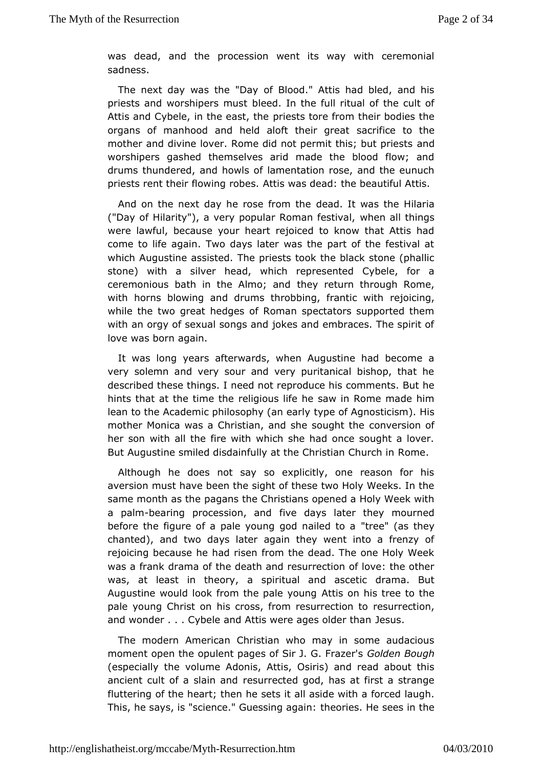was dead, and the procession went its way with ceremoni sadness.

The nextay was the "Day of Blood." Attis had bled, and hi priests and worshipe belemedstin the full ritual of the cult of Attis and Cybele, in the perasts the refrom their bodies the organs of manhood and held aloft stanceriinficgeread the mother and divine lover. Rome did not permitands; but priests worshipers gashed themselves arid made the blood flow; drums thunderend, howls of lamentation rose, and the eunuch priests rent their flowinatin blue as dead: the beautiful Attis.

And on the next day he rosed erad the was the Hilaria ("Day of Hilarity"), a very popular Rowman adels ttihvianings were lawful, because your heart rejoiced to know that Attis come to life again. Two days later was the part of the festiwhichQugustine assisted. The priests took the black stone (ph stone) with sidver head, which represented Cybele, for a ceremonious bath in the Altmey aetlurn through Rome, with horns blowing and drums throbbingrefro amiting, with while the two great hedges of Roman spectators supported t with aonrgy of sexual songs and jokes and embraces. The spiri love was bagain.

It was long years afterwards, when Augustine had become verysolemn and very sour and very puritanical bishop, that described thes regs. I need not reproduce his comments. But he hints that at the timedigheus life he saw in Rome made him lean to the Academic philosophype anofe Agnosticism). His mother Monica was a Christian, and shense usgiboth the her son with all the fire with which she had once sought a I But Augustine smiled disdainfully at the Chrosontean Church in

Although he does not say so explicitly, one reason for aversiomust have been the sight of these two Holy Weeks. In t same month aspalgeans the Christians opened a Holy Week with a palmbearing procession fiven days later they mourned before the figure of a pale young go"drealled stahay chanted), and two days later again they went into a frenzy rejoicing because he had risen from the dead. The one Holy was a fradurlama of the death and resurrection of love: the other was, at least in the ospiritual and ascetic drama. But Augustine would look from the **Attlies yonumigs** tree to the pale young Christ on his cross, from ressurrecttiom, to and wonder . . . Cybele and Attis were **agss** solder than

The modern American Christian who may in some audacio moment optelne opulent pages of Sir J. GoldeazBo's gh (especially vtoh learne Adonis, Attis, Osiris) and read about this ancient cult of a slaessuaned cted god, has at first a strange fluttering of the heart; then a heaseds with a forced laugh. This, he says, is "science." Guebebrige agale: sees in the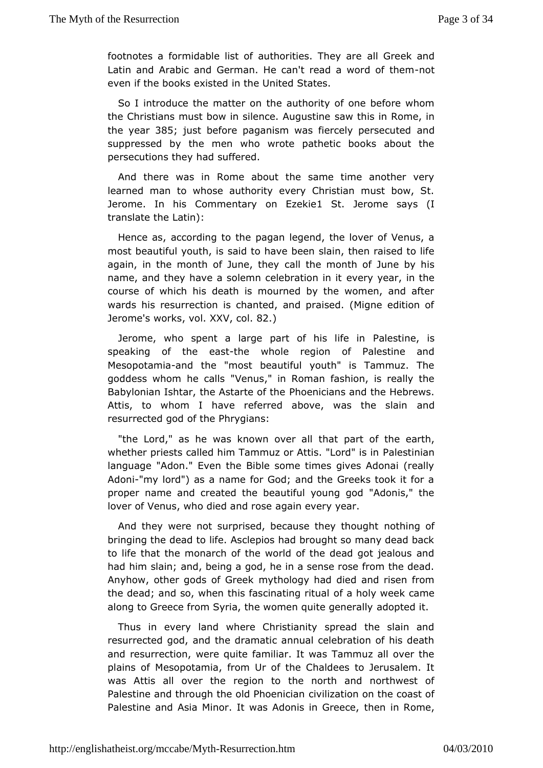footnotes a formidable list of authori $\hat{a}$ iles. The expandent and  $\hat{a}$ Latin and Arabic and German. He can't read-naotword of them evenif the books existed in the United States.

So I introduce the matther a unthority of one before whom the Christians must bow in silenceeaw A uhqiusstine Rome, in the yea3r85 just before paganism was fiercely ampolent secuted suppressed by the men who wrote pathetic books about t persecutions had ysuffered.

And there was in Rome about the same time another ve learned man to whose authority every Christian must bow, Jerome. In Ciosmmentary on ElzeSktieJerome sayls translate the Latin):

Hence as ccording to the pagan legend, the lover of Venus, most beautiful youthid itso have been slain, then raised to life again, in the month of Jumeel, they month of June by his name, and they have a solemn celebrearty oyne an, in the course of which his death is mourned by the women, and a wards his resurrection is chanted, and praised. (Migne editi  $Jero$  mewsork, svol  $X$   $X$   $V$   $co$   $18$   $2$ .)

Jerome, who spent a large part of Phisstline, ins speaking of the-the astwhole region of Palestine and Mesopotamainad the "most beautiful youth" is Tammuz. The goddess whom he "Vælmiss," in Roman fashion, is really the Babylonian Ishtar, the Astarthe eonfictheens and the Hebrews. Attis, to whom I have referred above, wand the slain resurrected god of the Phrygians:

"the Lord," as he was knownthoutepaatl of the earth, whether priests called him Tammuz or At Priaslestion right is in language "Adon." Even the Bible some times gives Adonai (r Adon''my lord") as a name for God; and the Greeks took it for proper name anedated the beautiful young god "Adonis," the lover of Venus, who died anguad nresery year.

And they were not surprised, becausentchtehyinghootight bringing the dead to life. Asclepios had brought so many dead tolife that the monarch of the world of the dead got jealous had him slaaimd, being a god, he in a sense rose from the dead Anyhow, other gods ofm Githecellogy had died and risen from the dead; and so, when this fascionfation holy it week came along to Greece from Syria, the women adotpeted de nerally

Thus in every land where Christianity spread the slain resurrected god, and the dramatic annual celebration of his andresurrection, were quite familiar. It was Tammuz all over plains Messopotamia, from Ur of the Chaldees to Jerusalem. was Attis all overegineen to the north and northwest of Palestine and through the old cP hibier maition contract of Palestine and Asia Minor. It was Adothis nimin GReemce,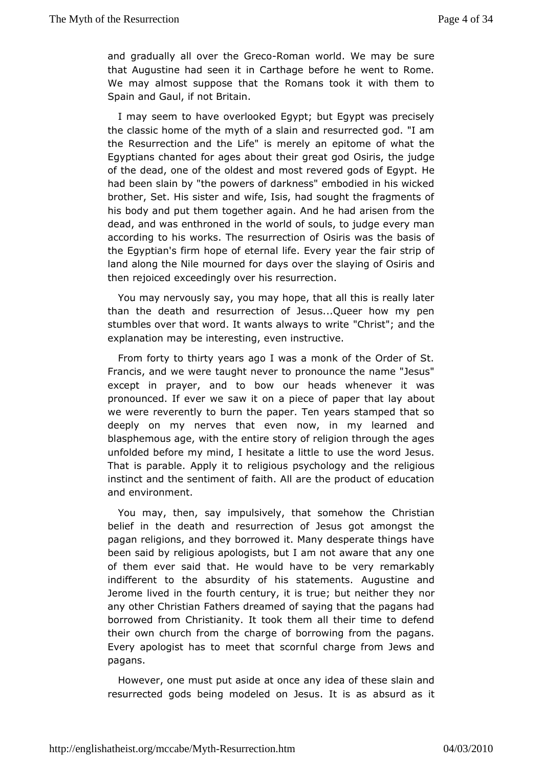and gradually all over t- ReomGarne cwoorld. We may be sure thatAugustine had seen it in Carthage before he went to Rom We may almost supposethe Romans took it with them to Spain and Gaul, if not Britain.

I may seem to have overlooked Egypt; but Egypt was precise the classic home  $m\acute{v}$  the metal and resurrected god. "I am the Resurrection and the metitedy is mepitome of what the  $E$ gyptians chanted for ages about th $\mathbf{\mathcal{Q}}$  sirigge athegoddige of the dead, one of the oldest and most reverble gods of Egypt. had been slain by "the powers of darkness" embodied in his w brothe $S$ , et. His sister and wife, Isis, had sought the fragments his body and the mether again. And he had arisen from the dead, and was enthronewdorthdtbe souls, to judge every man according to his works. The resulstreinstiwas of he basis of the Egyptian's firm hope of eternal life. fatives tyripe af the land along the Nile mourned for days over the arsdaying of Osir then rejoiced exceedingly over his resurrection.

You may nervosus y you may hope, that all this is really later than the death and resumfedeisous...Queer how my pen stumbles over that word. It wants alWCahyrsisttd; warmitde the explanation may be interesting, even instructive.

Fromforty to thirty years ago I was a monk of the Order of Francis, and we taweght never to pronounce the name "Jesus" except in prayer, and to bhoewad sum henever it was pronounced. If ever we saw it on a piece oabpoapter that lay we were reverently to burn the paper. Ten years stamped that deeply onmy nerves that even now, in my learned and blasphemous age, with the exploier eligion through the ages unfolded before my mind, I hesittaatuese ihtelevord Jesus. That is parable. Apply it to religious psycehlogogy sand the instinct and the sentiment of faith. All are the product of edu and environment.

You may, then, say impulsively, that *Sohmiesht bawn* the belief in the death and resurrection of Jesus got amongst pagameligions, and they borrowed it. Many desperate things h been said rby igious apologists, but I am not aware that any or of them ever said thw bull dehave to be very remarkably indifferent to the absurdity of his Asutogui**e**-minents.and Jerome lived in the fourth century, it is truenout neither the any other Christian Fathers dreamed of saying that the pagan borrowefdom Christianity. It took them all their time to defer their own church theomoharge of borrowing from the pagans. Every apologist has to meeceotrnthualt charge from Jews and pagans.

However, one must put asidæn atioten ace f these slain and resurrected gods being modeled on Jesus surditaiss ints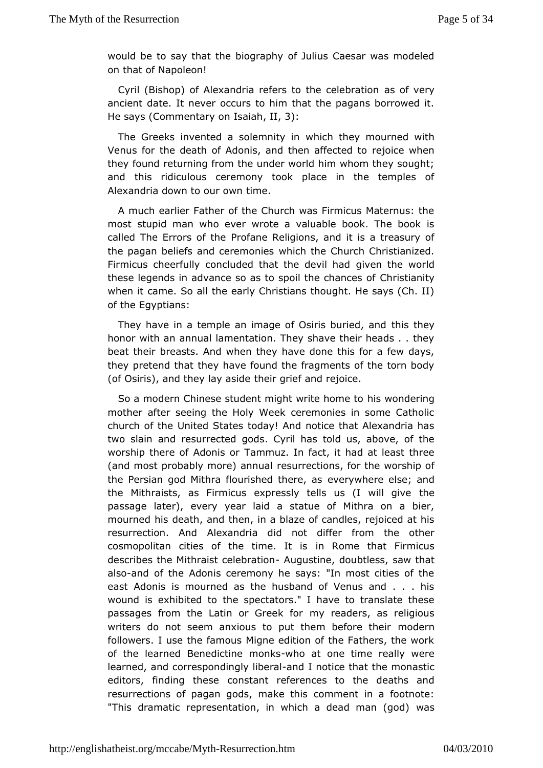would be to say that the biography of Julius Caesar was mo onthat of Napoleon!

Cyril (Bishop) of Alexandria refers to asseote aby ation ancient date. It never occurs to him that the pagans borrowe  $HessaysCommentary on$  I,  $sla_isib$ 

The Greeks invented a solewhind by threy mourned with Venus for the death of Adonis, and theen oat fee ow the dnto they found returning from the under world him whom they sou and this ridiculous ceremony took place in the temples Alexandria down to otwime.wn

A much earlier Father of the Church was Firmicus Maternus moststupid man who ever wrote a valuable book. The book called The Errors Porfoft the Religions, and it is a treasury of the pagan beliefs and cewenmod it the Church Christianized. Firmicus cheerfully concluded that the dewible had added the world these legends in advance so as to spoil C three ciraanity es of when it came. So all the early Christians thought. He says (C of the Egyptians:

They have in a temple an image of Osintihsis but hiereyd, and honor with an annual lamentation. They shave their heads ..  $be$ atheir breasts. And when they have done this for a few day they pretend theth have found the fragments of the torn body (of Osiris), and they It the ias got been fand rejoice.

So a modern Chinese student might whistew bootheeritory mother after seeing the Holy Week ceremonies in some Catl church of the United States today! And notice that Alexandri two slain anedurrected gods. Cyril has told us, above, of th worship there of Adonians maurz. In fact, it had at least three (and most probably more) easnumumed tions, for the worship of the Persian god Mithra flourished etrhyewhee raselse; and the Mithraists, as Firmicus expressly tells the  $(1 \text{ will give})$ passage later), every year laid a statue of Mithra on a l mourned hdiesath, and then, in a blaze of candles, rejoiced at  $\parallel$ resurrection. A hed x and ria did not differ from the other cosmopolitan cities of the time. Rd meisthat Firmicus describes the Mithraist ceAenguastition e, doubtlaews sthat alsoand of the Adonis ceremony he says: "In most cities of eastAdonis is mourned as the husband of Venus and . . . wound is exhibited to pectators." I have to translate these passages from the Latin or Gover the mass religious writers do not seem anxious to put them mode of their followers. I use the famous Migne edition of the Fathers, the of thelearned Benedictine-wholonkast one time really were learned, and respondingly -biberal notice that the monastic editors, finding thoenssetant references to the deaths and resurrections of pagan gods, croman meeth tish a footnote: "This dramatic representation, in which a dweasd man (god)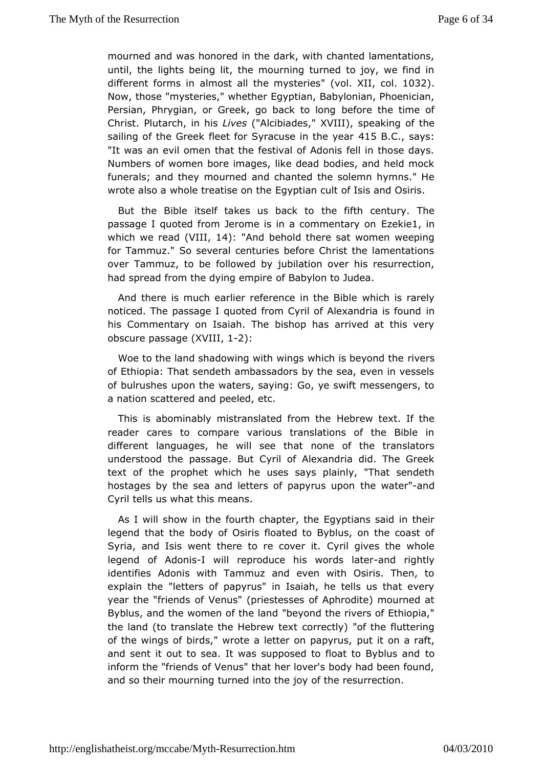mourned and was honored in the dark, with chanted lamentati until, thieghts being lit, the mourning turned to joy, we find different formas minost all the my's teoile  $\leq$  . 1032. Now, those "mysteries," Evahverthern, Babylonian, Phoenician, Persian, Phrygian, or Greek, go bæder eothængime of Christ. Plutarch, Linvertin Alcibiades," XS/pleb), king of the sailing of the Greek fleet for Syracu \$15 BnC.ths a yyse ar "It was an evil omen that the festival of Adonis fell in those Numbers of women bore images, like dead bodies, and held r funerals; and the hout med and chanted the solemn hymns." He wrote also a whole treatise younialme cult of Isis and Osiris.

But the Bible itself takes ush batik tho century. The passage I quoted from Jerome is in a choment demit ary on which we read  $\vert 14 \rangle$ : And behold there sat women weeping forTammuz." So several centuries before Christ the lamentat over Tammuz, tooblewed by jubilation over his resurrection, had spread from the dying feBrapbiy bon to Judea.

And there is much earlier referencewhinch hies Briabrleely noticed. The passage I quoted from Cyril of Alexandria is for his Commentary on Isaiah. The bishop has arrived at this  $obscure pass \& \& \& \& \n. 11-2$ :

Woe to the land shadowing with wings which ives sbeyond the of Ethiopia: That sendeth ambassadors by the sea, even in  $v \in S$ ofbulrushes upon the waters, saying: Go, ye swift messenger a natiosncattered and peeled, etc.

This is abominably mistranslateHde brown the at. If the reader cares to compare various translations of the Bible different languages, he will see that none of the transla understood plassage. But Cyril of Alexandria did. The Greel text of the prophet whisesheays plainly, "That sendeth hostages by the sea and letters of phapywas eampoon Cyril tells us what this means.

As I will show if to the chapter, the Egyptians said in their legend that the body offlo ased is to Byblus, on the coast of Syria, and Isis went there to reycidvervets the whole legend of Adbnwsill reproduce his woradnsd nlagthetriy identifies Adonis with Tammuz and even with Osiris. Then explain the tters of papyrus" in Isaiah, he tells us that eve year the "frien of senafs" (priestesses of Aphrodite) mourned at Byblus, and the women of "bleey dad dthe rivers of Ethiopia," the land (to translate the Hebore evertley) t "of the fluttering of the wings of birds," wrote a lettepuonitpapyausaft, and sent it out to sea. It was supposed to flotat to Byblus a inform the "friends of Venus" that her lover's body had been f and stcheir mourning turned into the joy of the resurrection.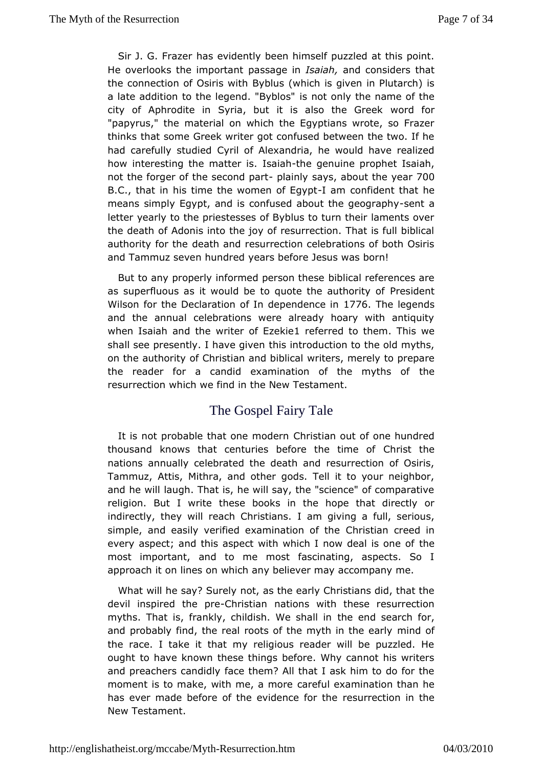Sir J. G. Frazerevidently been himself puzzled at this point He overlooks the imports and elismaiah and considers that the connection of OsiBiys blwisth Which is given in Plutarch) is a late addition to the legends h bot bolosy the name of the city of Aphrodite in Syria, but it is alwsord theorGreek "papyrus," the material on which the Egyptians wrote, so Fi thinkshat some Greek writer got confused between the two. If had carefully st**C**died of Alexandria, he would have realized how interesting the matstaeira-thise genuine prophet Isaiah, not the forger of the secphed ndsparts about the y  $\geq 0$ B.C., that in his time the womednamic cEnofyiptent that he means simply Egypt, and is confused aboutsethe ageography letter yearly to the priestesses of Byblus to turn their lament the deabh Adonis into the joy of resurrection. That is full bib authority ford the dhad resurrection celebrations of both Osiri and Tammuz seven hyedred before Jesus was born!

But to any properly informed poiboincathes berences are as superfluous as it would be to quote the manual function of Wilson for the Declaration of Indel  $\vec{\theta}$  and  $\vec{\theta}$  and  $\vec{\theta}$  and  $\vec{\theta}$ andthe annual celebrations were already hoary with antiqu when Isaiah and writter of Ezekee erred to them is we shall see presently. I haw ies gin the aduction to the old myths, on the authority of Christian windeb shim arely to prepare the reader for a candid examination of tthe myths of resurrection which we find in the New Testament.

# The Gospel Fairy Tale

It is not probable that one han idean out of one hundred thousand knows that centuries before Chheistimble of nations annually celebrated the death and resurrection of C Tammuz, Attis, Mithra, and other gods. Tell it to your neigh and he will ugh. That is, he will say, the "science" of comparat religion. But I whre tsee books in the hope that directly or indirectly, they will reach  $C$  harmistogianisming a full, serious, simple, and easily verified examinCaltiroistian tohreed in every aspect; and this aspect with which I nawedeal is one c most important, and to me most fascinating, aspects. So approach itlions on which any believer may accompany me.

What will he say? rSout, easy the early Christians did, that the devil inspired th@hpisetianations with these resurrection myths. That is, frankly, childish. th $W$ e eshidal search for, and probably find, the real roots of the mmindimofthe early the race. I take it that my religious reader will be puzzlec oughto have known these things before. Why cannot his writ and preachers canaddelly hem? All that I ask him to do for the moment is to make, with mecaaemudrexamination than he has ever made before of the evideaser for the in the New Testament.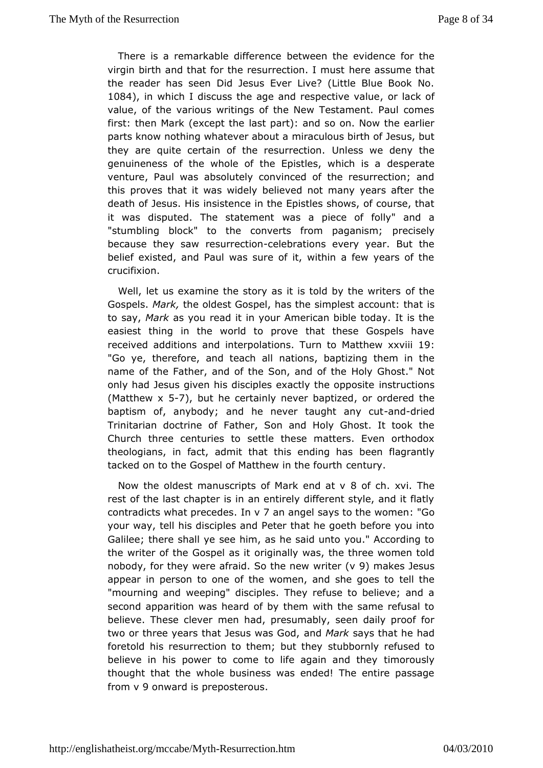There is a remarkable dbfetween ethe evidence for the virgin birth and that for the resurreheet ion as is unnues tthat the reader has seen Did Jesus Ever Live? (Little Blue Boo  $1084$  in which I discuss the age and resport and  $\boldsymbol{\mathrm{w}}$  and  $\boldsymbol{\mathrm{u}}$ value, of thasious writings of the New Testament. Paul come first: then Mark (excleepstt tphaert): and so on. Now the earlier parts know nothing whatevemiaboutous birth of Jesus, but they are quite certain of the reustandlerses timen. deny the genuineness of the whole of the Epistles, spuehred be is a venture, Paul was absolutely convinced of the resurrection; thisproves that it was widely believed not many years after death of Jesus nshisstence in the Epistles shows, of course, that it was disputed. The stawtæsmeantpiece of folly" and a "stumbling block" to the converts from propainstantly broad the converts of the median of  $p$ because they saw resucret birantions every year. But the belied xisted, and Paul was sure of it, within a few years of crucifixion.

Well, let us examine the story as it is tolodf by the the writers GospelMarkthe oldest Gospel, has the simplestiaccount: that to say Markas you read it in your American bible today. It is tl easiest thing in the world to prove that these Gospels h received additainod sinterpolations to Matthew x&viii "Go ye, therefore, and treatcibinall baptizing them in the name of the Father, and of the SonHoayndGbbsthe Not only had Jesus given his disciples exacitrist the ticompsosite (Matthew 5x7), but he certainly never, boarp birzdeed red the baptism of, anybody; and he never taught rand cut Trinitarian docdfirFeather, Son and Holy Ghost. It took the Church three centuries to the settle reatters. Even orthodox theologians, in fact, admit that this bene mdifring q has not ly tacked on to the Gospel of Matthew cem ttuhney fourth

Now the oldest manuscripts of Ma8rkofencock wait The rest of the last chapter is in an entirely different style, and contradicts what preline of easing angel says to the WGoomen your way, hest disciples and Peter that he goeth before you in Galilee; there shaeld whem, as he said unto you." According to the writer of the Gospoelgasailly was, the three women told nobody, for they were afraid. Sooitteh(ne 9) enwakes Jesus appear in person to one of the women, and is the goes to "mourning and weeping" disciples. They refuse to believe; a seconapparition was heard of by them with the same refusal believe. These menehad, presumably, seen daily proof for two or three years that Jesus and Maxim Goscady, s that he had foretold his resurrection to themstubbornhly yrefused to believe in his power to come to life agiamin roamsdlythey thought that the whole business was ended! The entire pas from 9 onward is preposterous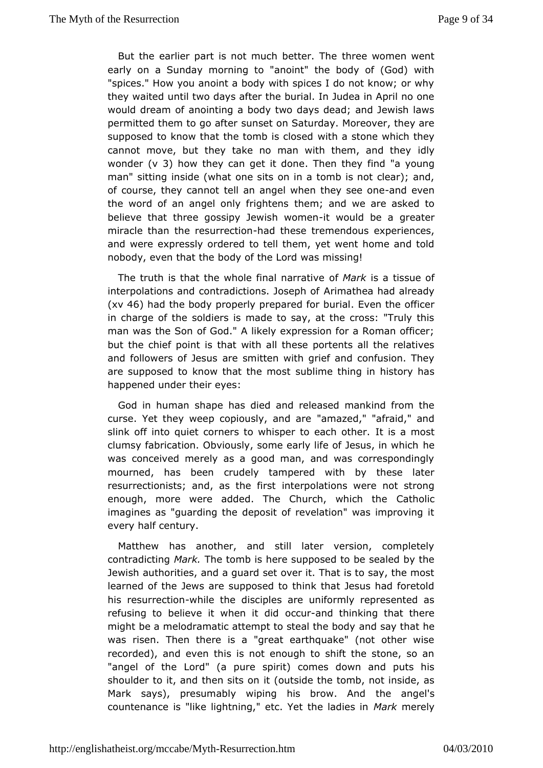But the earlier part is not much the the three went early on a Sunday morning to "anoint" the body of (God) v "spices." How you anoint a body with spices I do not know; or they waited til two days after the burial. In Judea in April no one would dreamamofinting a body two days dead; and Jewish laws permitted them to gouanster on Saturday. Moreover, they are supposed to know that the tombits alossede which they cannot move, but they take no man with thied that they wonder  $(v 3)$  how they can get it T demethey for a young man" sittiimgside (what one sits on in a tomb is not clear); an of course, they ctaenthoath angel when they-asnede eovreen the word of an angel only theore in teamsd we are asked to believe that three gossipy Jewiitsh wow do he begraeater miracle than the resuhmed ttilonese tremendous experiences, and wereexpressly ordered to tell them, yet went home and to nobody, even thabto diyeof the Lord was missing!

The truth is that the whole finaf Maarkistave issue of interpolations and contradiction & rimathea bad already  $(x \vee 46)$  had the body properly prepare.d  $\bullet$  when the roight cer in charge of the soldiers is made to say, at the cross: "Trul man was the Son of God." A likely expression for a Roman of but the chpefnt is that with all these portents all the relative and followers of alrees us smitten with grief and confusion. They are supposed to know that sublimes thing in history has happened under their eyes:

God in human shapedied and released mankind from the curse. Yet they weep copiousl'yamanzedate" afraid," and slink off into quiet corners to whisper Itoise and mosther. clumsy fabrication. Obviously, some early life hoef Jesus, in wh was conceived merely as a good man, and was correspondi mourned, has beendely tampered with by these later resurrectionists; and, as inher pool antions were not strong enough, more were added. The Church, Cawthoothc the imagines as "guarding the deposit of revelation" was improv everhalf century.

Matthew has another, and still later version, complet contradictMmagrkThe tomb is here supposed to be sealed by the Jewishuthorities, and a guard set over it. That is to say, the  $\blacksquare$ learned of the s are supposed to think that Jesus had foretol his resurreewhiloin e tho eisciples are uniformly represented as refusing to believe it whencutandddthinking that there might be a melodramatic attempt to sale all stange that dyne was risen. Then there is a "great earthquake" (not other wise  $recorded$ , and even this is not enough to shift the stone,  $s$ "angel of the rd" (a pure spirit) comes down and puts his shoulder to it, and thent sids tsinde the tomb, not inside, as Mark says), presumably wiping his the meowangAenlds countenance is "like lightning," etc. YeMtathmee taby es in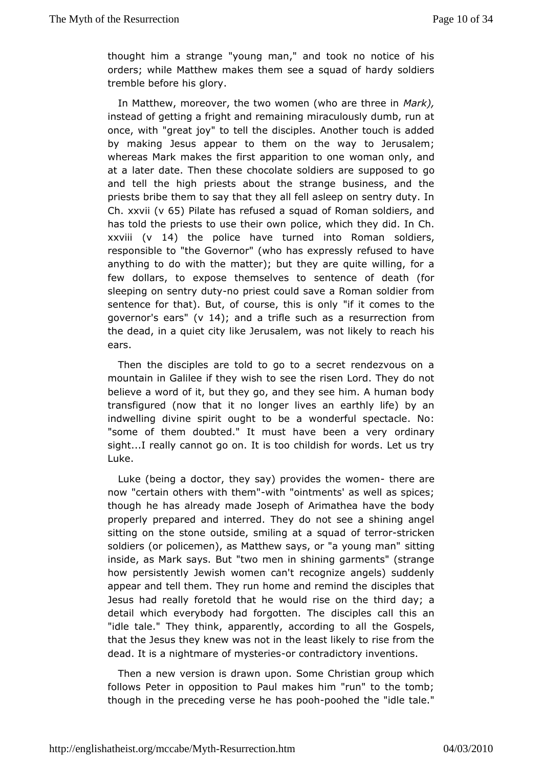thought him a strange "young man," and took no notice of orderswhile Matthew makes them see a squad of hardy soldie tremble beforgibry.

In Matthew, moreover, the two women (who arked, three in  $instead$  of getting a fright and remaining miraculously dumb,  $n$ once, wittereat joy" to tell the disciples. Another touch is add by making Jesus apopetarem on the way to Jerusalem; whereas Mark makes the first appawioimontomologie and at a later date. Then these chocolate soldierspoare supposed and tell the high priests about the strange business, and priests brtilbeem to say that they all fell asleep on sentry duty. Ch xxviiv 65) Pilatheas refused a squad of Roman soldiers, and has told the priests to useptole bethere own ich they did. In Ch.  $xxviii(v 14)$  the police have turned into solation as and the police have turned into solation as an responsible to "the Governor" (who has expressly refused to anything to do with the matter); but they are quite willing, few dollars, expose themselves to sentence of death (for sleeping on sentrnod pty esould save a Roman soldier from sentence for that). But, of course,"ifthiits ciosmoensly to the govern's real's  $($  14); and a trifle such as a restum mection the dead, in a quiet city like Jerusalem, was not likely to rea ears.

Then the disciples are told to go to a secret rendezvous mountain in Galilee if they wish to see the risen Lord. They believewand of it, but they go, and they see him. A human bod transfigured (nowitt maxilonger lives an earthly life) by an indwelling divine spirit oughwotrodebreul a spectacle. No: "some of them doubted." It must have bedimaayvery sight...I really cannot go on. It is too childish for words. Let Luke.

Luke (being a doctor, they say) providets the awemen now"certain others with with bintments' as well as spices; though he had seady made Joseph of Arimathea have the body properly prepared and inher reddo not see a shining angel sitting on the stone outside, smiling f at rass nice at a soldiers (or policemen), as Matthew says, ostitting oung man" inside, as Mark says. But "two men in shining garments" (str howpersistently Jewish women can't recognize angels) sudde appear and tell Themy.run home and remind the disciples that Jesus had really foretoldwothat hisse on the third day; a detail which everybody had forgobitsteeimple sheall this an "idle tale." They think, apparently, accor**Gdosgete**, all the that the Jesus they knew was not in the least likely to rise  $fr_{\perp}$ dead. It is a nightmare of-orry solentires alictory inventions.

Then aew version is drawn upon. Some Christian group which follows Peteorpprosition to Paul makes him "run" to the tomb; though in the preceding was spoon booked the "idle tale."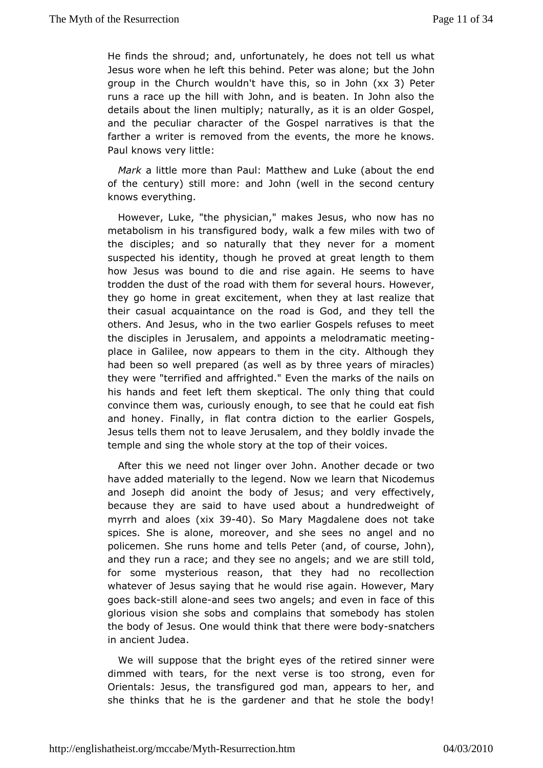He finds the shroud; and, unforto the out the division what Jesus wore when he left this behind. Petetrh was bathone; but group in the Church 'twbat this in John (xx 3) Peter runs aace up the hill with John, and is beaten. In John also details about inheen multiply; naturally, as it is an older Gospe and the peculiar chamfacher Gospel narratives is that the farther a writer is removed eforeomisthe he more he knows. Paul knows very little:

Marka littlemore than Paul: Matthew and Luke (about the end of the century) still mourcehnand well in the second century knows everything.

However, Luke, phty seician," makes Jesus, who now has no metabolism in his transfiguwadk baod pw miles with two of the disciples; and so naturally that theeymome vent for suspected his identity, though he proved at great length to how Jesus was bound to die and rise again. He seems to have trodden the dust rodatch with them for several hours. However, they go home in great excovite entrey at last realize that their casual acquaintance on the road his Gold, thed others. And Jesus, who in the two earlier Gospels refuses to the disciples in Jerusalem, and appoints a melodramatic mee place Gaalilee, now appears to them in the city. Although the had been so pwreelplared (as well as by three years of miracles) they were "terrified faing thed." Even the marks of the nails on his hands and feet lesket them sal. The only thing that could convince them was, curiously enologin, heocseled eat fish and honey. Finally, in flat contra dictionGdspehse, earlier Jesus tells them not to leave Jerusalem, and they boldly inva temple and sing the whole story at the top of their voices.

After this nweeed not linger over John. Another decade or two have added materially encentule Now we learn that Nicodemus and Joseph did anoint the body of vellers uest; feachible ly, because they are said to have used about a hundredweigh myrrh and al $(x_i, y_i, y_i, z_i)$ . So Mary Magdalene does not take spices. Shealbsne, moreover, and she sees no angel and no policemen. She runs home  $\mathsf{Rand}$  and  $\mathsf{edB}$  and, of course, John), and they run a race; and they see now earagrelss,tialn dold, for some mysterious reason, that they had no recollect whatever of Jesus saying that he would rise again. However, goes baskilalon-and sees two angels; and even in face of this glorious vision she sobs paadns that somebody has stolen the body of Jesus. One would thinwhere the abtoth there are hers in ancient Judea.

We will suppose that the boight he yestired sinner were dimmed with tears, for the next verse is ven of strong, Orientals: Jesus, the transfigured god man, appears to her, shethinks that he is the gardener and that he stole the bo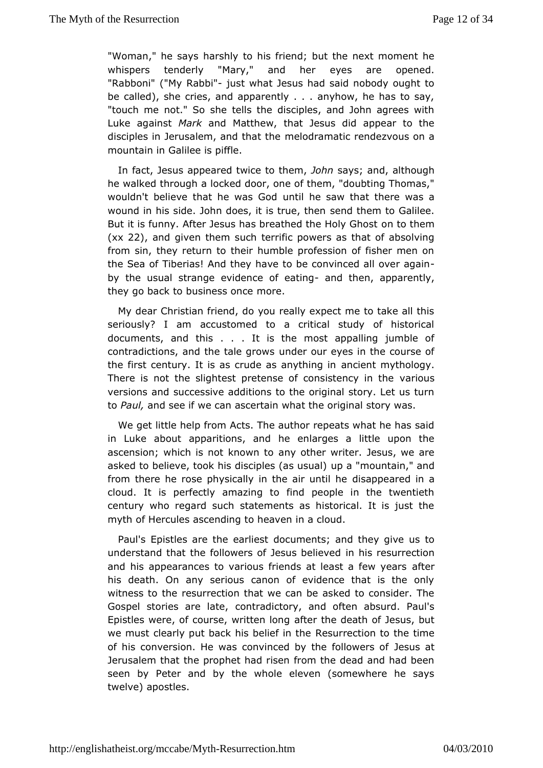"Woman," he shaay sshily to his friend; but the next moment he whispers tenderly "Mary," aredesher are opened. "Rabboni" ("My Raubsti" what Jesus had said nobody ought to be called), she cries, and apparently  $\ldots$  anyhow, he has to "touch meot." So she tells the disciples, and John agrees w Luke againMsarkand Matthew, that Jesus did appear to the disciples in Jerusalem, and et boat at metic rendezvous on a mountain in Galilee is piffle.

In fact, Jesspusse ared twice to Jtohnemsays; and, although he walked throughkæd door, one of them, "doubting Thomas," wouldn't believe that he was God saw that there was a wound in his side. John does, it sientat ut een mheo Galilee. But it is funny. After Jesus has breathed nthte Hibeyn Ghost  $(xx22)$ , and given them such terrific powers as that of absolvi from sin, they return to their humble profession of fisher me the Sea Toifberias! And they have to be convinced all over aga by the usual streavightence of e-ataimot then, apparently, they go back to business rence

My dear Christian friend, do you really expect me to take all seriously? I am accustomed to a critical study of histor documents, and this. It is the most appalling jumble of contradictions, and the tau hed garoows eyes in the course of the first century. It is as crude aanacheyahimg timology. There is not the slightest pretense of comairsibanscy in the versions and successive additions to the original story. Let us toPauland see if we can ascertain what the original story was.

Weget little help from Acts. The author repeats what he has in Luke about paritions, and he enlarges a little upon the ascension; which is not kamow on ther writer. Jesus, we are asked to believe, took his discip**leps a** a"sm**osnaai**n," and from there he rose physically in the issappenetibe hein a cloud. It is perfectly amazing to find people in the twent century who regard such statements as historical. It is just myth offercules ascending to heaven in a cloud.

Paul's Epistles are the decentrications; and they give us to understand that the followers of Jesus believed in his resurrection and his appearances to various friends at laatser a few years his death. On any serious canon of evidence that is the witness tthe resurrection that we can be asked to consider. T Gospel stories arecolmattrea, dictory, and often absurd. Paul's Epistles were, of course, waltteentheengeath of Jesus, but we must clearly put back his breets entrine cthen to the time of his conversion. He was convinced by the esuffsiled wers of Jerusalem that the prophet had risen from the dead and had seen byPeter and by the whole eleven (somewhere he says twelve) apostles.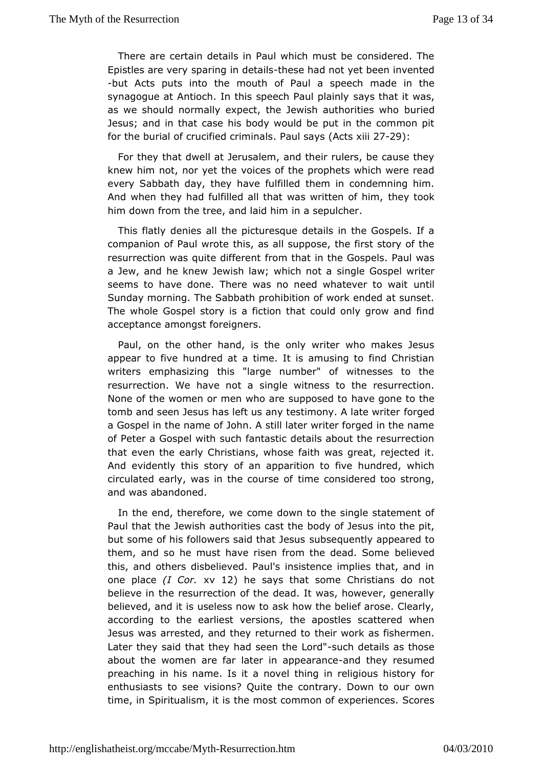Thereare certain details in Paul which must be considered. Epistles are sypearlying in detthae isse had not yet been invented -but Acts puts into the of mo Puatul a speech made in the synagogue at Antioch. In this speecsha $P$ sauth antaith was, as we should normally expect, the Jewish bauntihendrities who Jesus; and in that case his body would be put in the commo for theburial of crucified crain alaxy Ascts  $x2i7-29$ :

For they that derusalem, and their rulers, be cause the knew him not, nor yedidbe of the prophets which were read every Sabbath day, they havteh efmalfiinhlecobndemning him. And when they had fulfilled all that was tweixt temolof him, him down from the tree, and laid him in a sepulcher.

This fladleynies all the picturesque details in the Gospels. I companion of Pault wirsoteas all suppose, the first story of the resurrection was quite foriof frent on the Gospels. Paul was a Jew, and he knew Jewish law; swihnigplhe nGodspel writer seems to have done. There was no need whanttelver to wait Sunday morning. The Sabbath prohibition of work ended at su The whole ospel story is a fiction that could only grow and fi acceptance amongstigners.

Paul, on the other hand, is the only writer who makes  $Je$ appear to five hundred at a time. It is amusing to find Chri writersemphasizing this "large number" of witnesses to the resurrection. We have simule a witness to the resurrection. None of the women or men who are hsau pop conscende to the tomb and seen Jesus has left us any testim omyge Ad late writer a Gospel in the name of John. A still later writer forged in the ofPeter a Gospel with such fantastic details about the resurre that even the erly Christians, whose faith was great, rejected it And evidently this ostany apparition to five hundred, which circulated early, was in the time course and too strong, and was abandoned.

In the end, therefore mwedown to the single statement of Paul that the Jewish authorit beosd p acsft Jubs us into the pit, but some of his followers saidsubat queenutsly appeared to them, and so he must have risen from the edie and Some this, and others disbelieved. Paul's insistence implies that, one place  $C$  orxv 12) he says that some Christians do not believe time resurrection of the dead. It was, however, general believed, and ustelsss now to ask how the belief arose. Clearly according to the eaelriseins, the apostles scattered when Jesus was arrested, and they the eurnwend koas fishermen. Later they said that they had se-such the Labled as those about the women are far later in-aanpolpelabeay not and the preaching in his name. Is it a novel thing in religious histo enthusiasts see visions? Quite the contrary. Down to our own time, in Spiritualist the immost common of experiences. Scores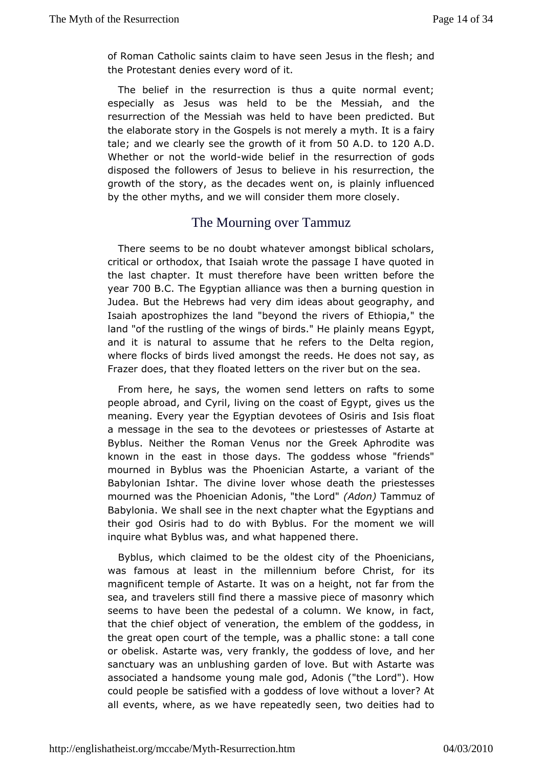of Roman Catholic saints clasione no Jesue in the flesh; and the Protestant denies every word of it.

Thebelief in the resurrection is thus a quite normal eve especially as Jesushe wdasto be the Messiah, and the resurrection of the Messiah was **belech** to renative ted. But the elaborate story in the Gospels is not meemel a myth. It tal pand we clearly see the growth 50 ADt torto 2no AD. Whether or not the wideld belief in the resurrection of gods disposed fbelowers of Jesus to believe in his resurrection, t growth of the stotyce adsecades went on, is plainly influenced by the other myths, and whe will did them more closely.

#### The Mourning overTammuz

There seems to be no doubt whatever amongst biblical scho critical or orthodox, that Isaiah wrote the passage I have quo the lasthapter. It must therefore have been written before the year700 B.C. The Egyptian alliance was then a burning question in Judea. But the Hebrews diand indeerays about geography, and Isaiah apostrophizes the land "beyoonfd Etthe io piwee, is the land "of the rustling of the wings of birds." He pey potlainly means and it is natural to assume that he refers to the Delta red wher flocks of birds lived amongst the reeds. He does not say Frazer does, the at floated letters on the river but on the sea.

From here, he say wombeen send letters on rafts to some people abroad, and Cyril, liveionagstonofthEgypt, gives us the meaning. Every year the Egyptian devoatredes sois Olssians a message in the sea to the devotees or priestesses of Asta Byblus. Neither the Roman Venus nor the Greek Aphrodite known in the eashosme days. The goddess whose "friends" mourned in Byblus was the PAsoteanteian variant of the Babylonian Ishtar. The divine lover whpsieesdeashesthe mourned was the Phoenician Adoni6Ad"dhpamomdaf Babylonia. We shall see in the next chapter what the Egyptiar their goodsiris had to do with Byblus. For the moment we wi inquire what Bybluss now aws hat happened there.

Byblus, which claimed to be the othologes and priorians, was famous at least in the millennium before Christ, for magnificent temple of Astarte. It was on a height, not far fro sea, and avelers still find there a massive piece of masonry wl seems to have bleeen pedestal of a column. We know, in fact, that the chief object of veneration hem of the goddess, in the great open court of the temple, swasea phalllicone or obelisk. Astarte was, very frankly, the and dress of love, sanctuary was an unblushing garden of love. But with Astarte associated a handsome young male god, Adonis ("the Lord"). could people attes fied with a goddess of love without a lover? all events, where, haas aw eepeatedly seen, two deities had to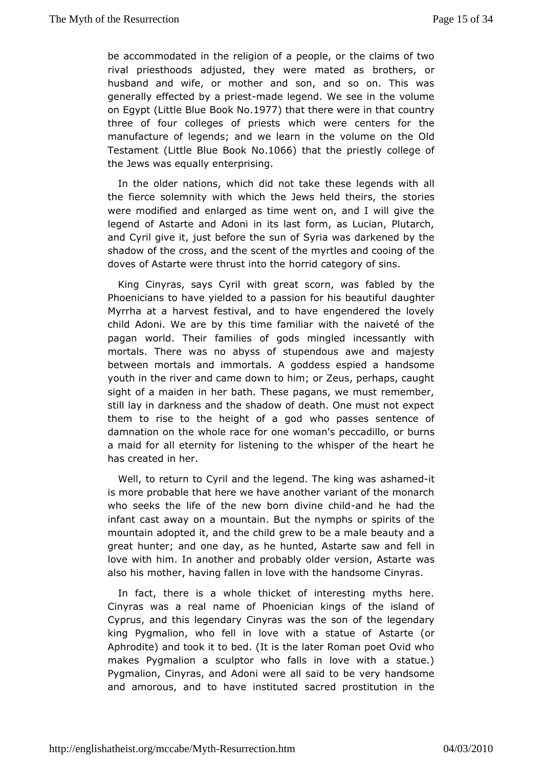be accommodated in the relipetic or the claims of two rival priesthoods adjusted, they werbromt at as as husband and wife, or mother and son, and so on. This w  $q$  a eneral  $d$  of fected by a  $q$  principal legend. We see in the volume on Egypt (LittleB  $B_0$  when  $N_0$  and there were in that country three of four colleges of whoicihes tweere centers for the manufacture of legends; and we learn in the Oddume on Testament Little Blue Book Of Nothat the priestly college of theJews was equally enterprising.

In the older nations, which ditchenscet theostereds with all the fierce solemnity with which the Jews beddietsheirs, the were modified and enlarged as time went on, and I will give legendf Astarte and Adoni in its last form, as Lucian, Pluta and Cyril giviesit, before the sun of Syria was darkened by the shadow of the cross, sacred the the myrtles and cooing of the doves of Astarte were thrust thinto date gory of sins.

King Cinyras, says Cyril with greafabled aby was Phoenicians to have yielded to a passion dfaoughter beautiful Myrrha at a harvest festival, and to have engendered the Id childAdoni. We are by this time familiar with the naiveté of pagan world. Themillies of gods mingled incessantly with mortals. There was no asbtyuspesendofous awe and majesty between mortals and immortals. A godd heas not also a youth in the river and came down to him; or Zeus, perhaps, ca sighof a maiden in her bath. These pagans, we must remembe still lay in dar and stshe shadow of death. One must not expect them to rise to the height owthca goosclses sentence of damnation on the whole race for one wom**an'burescadillo**, a maid for all eternity for listening to the whisper of the he has created in her.

Well, to return to Cyril and the legendas The mexicing was is more probable that here we have another variant of the mon whoseeks the life of the new born-admidinhee chhad dd the infant cast away moon ratain. But the nymphs or spirits of the mountain adopted it, and gthe ew cholde a male beauty and a great hunter; and one day, as he huns he And the thein love with him. In another and probably older was rsion, Astarte also his mother, having fallen in love with the handsome Ciny

In fact, there is a whole thicket of interesting myths he Cinyras was a nræmale of Phoenician kings of the island of Cyprus, and this legendary Ctheras mwas the legendary king Pygmalion, who fell in love with A satas tatu (corof Aphrodite) and took it to bed. (It is the later Roman poet Ovi makes Pygmalion a sculptor who falls in love with a stat Pygmalion, Cingnads Adoni were all said to be very handsome and amorous, and to have isnas dirend teperostitution in the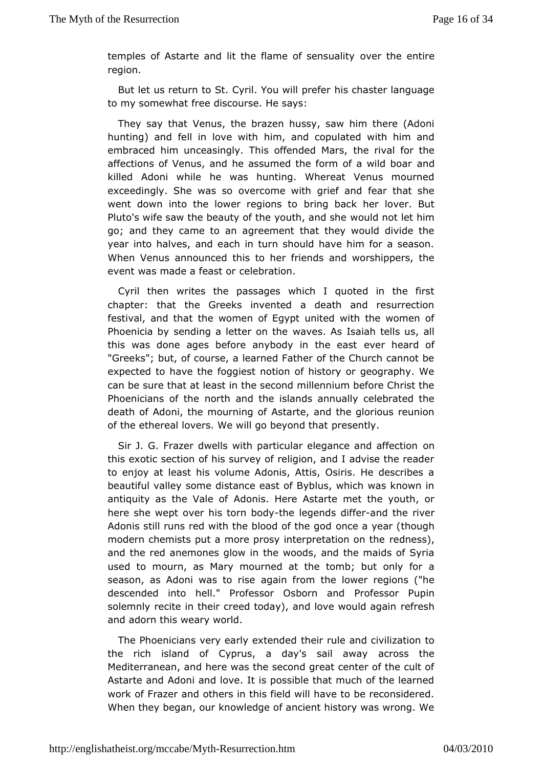temples of Astarte and lit the flame ooverse heughittive region.

But let us return to St. Cyril. Y bus wihla prefelanguage to my somewhat free discourse. He says:

They say the find the brazen hussy, saw him there (Adoni hunting) and fell in lowiem, with d copulated with him and embraced him unceasingly. This offtehred  $e$  in all a frosm, the affections of Venus, and he assumed the form of a wild boar killed Adoni while he was hunting. Whereat Venus mourr exceedingly. Gase so overcome with grief and fear that she went down into the lower rebgiongs black her lover. But Pluto's wife saw the beauty of the ywouldhid anoul lsehte him go; and they came to an agreement that they would divide year into halves, and each in turn should have him for a se When Venasnounced this to her friends and worshippers, th event was made a feast boration.

Cyril then writes the passages which I quoted in the f chapter: that the Greeks invented a death and resurrect festival, and the atwomen of Egypt united with the women of Phoenicia by sending a letwearves. the Isaiah tells us, all this was done ages before anybody eive rthee aerad stof "Greeks"; but, of course, a learned Father of the Church cann expected to have the foggiest notion of history or geography can be suhmat at least in the second millennium before Christ t Phoenicians of oth the islands annually celebrated the death of Adoni, the mou Astagtes fand the glorious reunion of the ethereal lovers. We will gop the esyeomit dly that

Sir J. G. Frazer dwells with particular elegance and affecti this exotic section of his survey of religion, and I advise the to enjoy at least his volume Adonis, Attis, Osiris. He descril beautiful vas benye distance east of Byblus, which was known in antiquity as the Vadeonos. Here Astarte met the youth, or here she wept over his tohraldogodhyds difafred the river Adonis still runs red with the blood coef a hyee and though modern chemists put a more prosy interpretantess) on the and the red anemones glow in the woods, and the maids of S used tomourn, as Mary mourned at the tomb; but only for a season, as Adoni was ato ainisferom the lower regions ("he descended into hell." Professor @Psb6essoandPupin solemnly recite in their creed today), and reviee swhould again and adorn this weary world.

The Phoenicians very early the suit endleed and civilization to the rich island of Cyprus, a day's a craoish a whaey Mediterranean, and here was the second great center of the c Astarte and Adoni and love. It is possible that much of the le work of Frazer and others in this field will have to be reconside When they began, knowledge of ancient history was wrong. We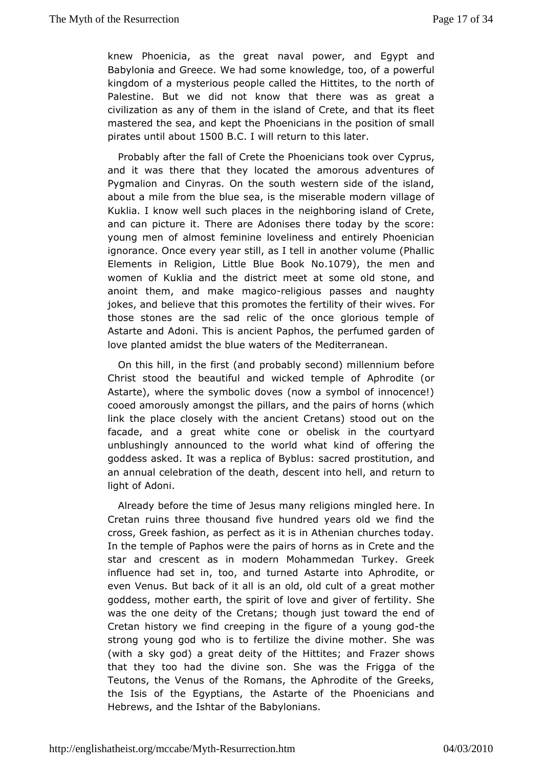knew Phoenicia, as the nawa pathower, and Egypt and Babylonia and Greece. We had some knowledgerfudo, of kingdom of a mysterious people called the Hittites, to the no Palestine. But we did not know that there was as great civilization as  $am$  which the island of Crete, and that its fleet mastered the sea, and Repentheians in the position of small pirates until albound B.C. I will returnthis later.

Probably after the fall of Crete the PhoenCivcpans, took over and it was there that they located the amorous adventures Pygmalionmd Cinyras. On the south western side of the islan about a mile from the balue the miserable modern village of Kuklia. I know well such planceeis hibotheeg island of Crete, and can picture it. There are Adonisebsy tutheeres dodea:y young men of almost feminine loveliness and entirely Phoen ignorance. Once every year still, as I tell in another volume ( Elementisn Relig, identitle Blue Book 0 7Ngo the men and women of Kuklia and disthe bot meet at some old stone, and anoint them, and make-mabioglico opposes and naughty jokes, and believe that this promotes the wie retaility oof their those stones are the sad relic of the once glorious templ Astartænd Adoni. This is ancient Paphos, the perfumed garder love planted amhidstilue waters of the Mediterranean.

On this hill, in the figrisot bleak hide second) millennium before Christ stood the beautiful and wicolfed apthemopolitie (or Astarte), where the symbolic doves (now a symbol of innocer cooed amorously amongst the pillars, and the pairs of horns ( link thoelace closely with the ancient Cretans) stood out on facade, and a gwebatte cone or obelisk in the courtyard unblushingly announced to the whorddowlhoaftfering the goddess asked. It was a replica of Boyrb but stusia on, eand an annual celebration of the death, descemettuin to tobell, and light of Adoni.

Already before the time of Jesus manairmy gireed interions In Cretan ruins three thousand five hundred years old we find cross, Greek fashion, as perfect as it is in Athenian churches In theemple of Paphos were the pairs of horns as in Crete and star and cres as ntin modern Mohammedan Turkey. Greek influence had set in, too, a A statutren eid to Aphrodite, or even Venus. But back of it all is an ald recaltd motouth eorf goddess, mother earth, the spirit of love and Shever of fertilit was the one deity of the Cretans; though just toward the en Cretanistory we find creeping in the figure othea young god strong young godiswho fertilize the divine mother. She was (with a sky god) a great de Hivt to the sheand Frazer shows that they too had the divine son. She was tthe Frigga Teutons, the Venus of the Romans, the Aphrodite of the Gre the Isissf the Egyptians, the Astarte of the Phoenicians and Hebrews, and the IsthtearBabylonians.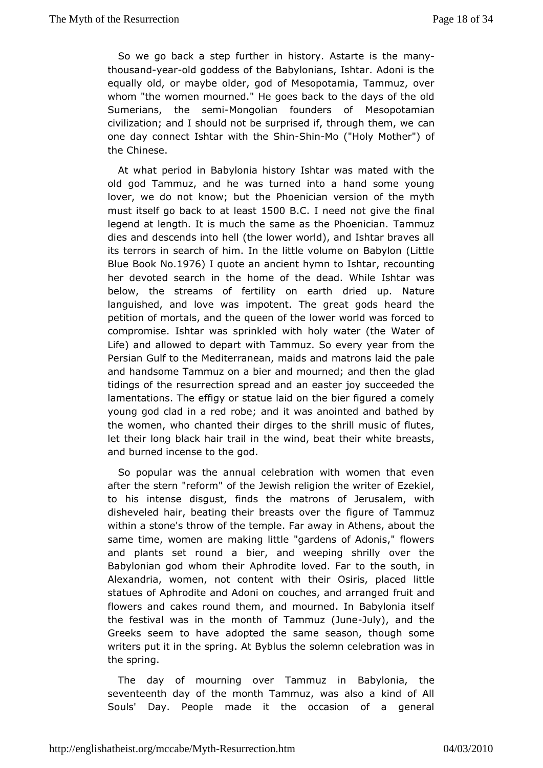So we go back a step further in history. mAssurante is the thousanyde a-rold goddess of the Babylonians, Ishtar. Adoni is the equalloyid, or maybe older, god of Mesopotamia, Tammuz, ove whom "the women mould the do" es back to the days of the old Sumerians, the -Meemiolian founders Mesopotamian civilization; and I should not be surprised if, ctahrough them, w one day connect Ishtar with Shin - Shin-Moly Mother") of theChinese.

At what period in Babylonia history Ishtar was mated with oldgod Tammuz, and he was turned into a hand some young lover, we do not knowh; eb Rhoenician version of the myth must itself go back to 1a5t00 B.aCst need not give the final legend at length. It is much the same as Tham Photonician. dies and descends into hell (the lower world), and Ishtar brav itsterrors in search of him. In the little volume on Babylon  $($ Blue Bobla1976l quote an ancient hymn, troed obthating her devoted search homtheof the dead. While Ishtar was below, the streams of fertility domedeauth Nature languished, and love was impotent. The great gods heard petition of mortals, and the queen of the lower world was ford compromiseshtar was sprinkled with holy water (the Water of Life) and allowed to wide part ammuz. So every year from the Persian Gulf to the Mediterraneam, a mainds laind the pale and handsome Tammuz on a bier and mourned jaadnd then the tidings of the resurrection spread and an easter joy succeeded lamentations. The effigy or statue laid on the bier figured a c young godad in a red robe; and it was anointed and bathed b the women, who chanderddirges to the shrill music of flutes, let their long black haither will in beat their white breasts, and burned incense to the god.

Sopopular was the annual celebration with women that ev after the stern "roffotme" Jewish religion the writer of Ezekiel, to his intense disgust, fimmadtsrothse of Jerusalem, with disheveled hair, beating their breasds rever Thammuz within a stone's throw of the temple. Far away hime Athens, about same time, women are making little "gardens of Adonis," flo and plants set round a bier, and weeping shrilly over the Babylonian god whom Aptheodite loved. Far to the south, in Alexandria, women, not content Owsithisthelaced little statues of Aphrodite and Adoni on couchefs, unanarranged flowers and cakes round them, and mourned. In Babylonia i the festival was in the month of TamJmuluyz), ( $\Delta$ unnde the Greeks seem to **have and the same season**, though some writers put it in the spring. Ats By portunion cell the bration was in the spring.

The day of mourning over TamBmaubzyloimia, the seventeenth day of the month Tammuz, was also a kind of Souls' Day. People made it the occasion of a gener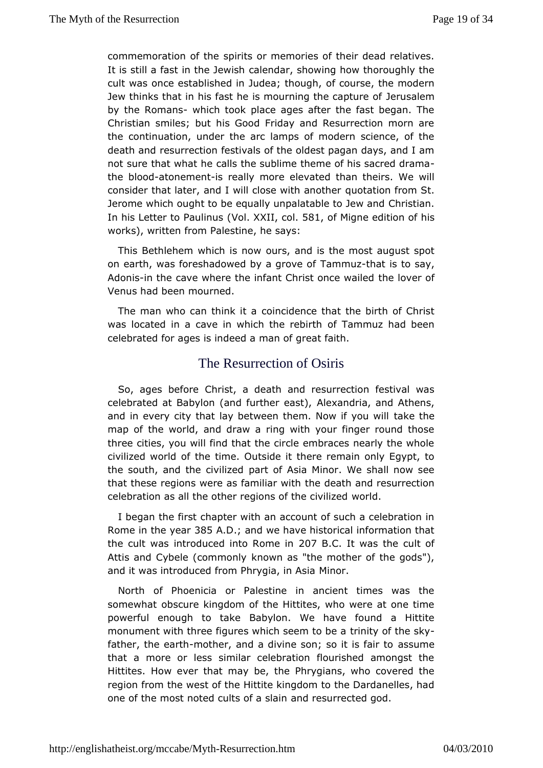commemoration ossptilmets or memories of their dead relatives. It is still a fast in theealleenwoliash, showing how thoroughly the cult was once established in Judoéac; our resegnthe modern Jew thinks that in his fast he is mournindethussad aporture of by the Rom-awhich took place ages after the fast began. The Christian smiles; but his Good Friday and Resurrection mor thecontinuation, under the arc lamps of modern science, of death amd surrection festivals of the oldest pagan days, and I not sure that whosallesthe sublime theme of his sacred drama the blo-adonement really more vated than theirs. We will consider that later, and I will close unoittantiao mother m St. Jerome which ought to be equally unpalat@brestbadew and In his Letter to P & Vu biln Xu Xsl, I co. I 581 of Migne editibins of works), written from Palestine, he says:

This Bethlehem whichous snow nd is the most august spot on earth, was foreshadowed by Taamgrouw behad is to say, Adonis the cave where the infant Christhoen boev ownaid ted Venus had been mourned.

The man who can thin thit indence that the birth of Christ was located in a cave in which of the Tame bniuth had been celebrated for ages is indeed a man of great faith.

# The Resurrection of Osiris

So, ages before Cahrdetath and resurrection festival was celebrated at Babylon (and further and sita, and Athens, and in every city that lay between them. that they ou will map of the world, and draw a ring with your finger round th thre cities, you will find that the circle embraces nearly the v civilized wofldhe time. Outside it there remain only Egypt,  $t_0$ the south, and the cpaintizent Asia Minor. We shall now see that these regions were as fatmelidae awhit and resurrection celebration as all the other regions wo frible civilized

I began the first chapter with an account of such a celebrat Rome in the \$85AD; and we have historical information that the cult was roduced into Ro2n0e B.G. It was the cult of Attis and Cybele (comknown as "the mother of the gods"), and it was introduced from PhryMginagrin Asia

North of Phoenicia or Palestine in ancient times was somewhat bscure kingdom of the Hittites, who were at one time powerful enough to Baabkyelon. We have found a Hittite monument with three figures which seeminty to the a sky father, the emanotther, and a divine son; so ats staminating to that a more or less similar celebration flourished amongst Hittite blow ever that may be, the Phrygians, who covered th region from the west bittitte kingdom to the Dardanelles, had one of the most noted cults and a essluarine cted god.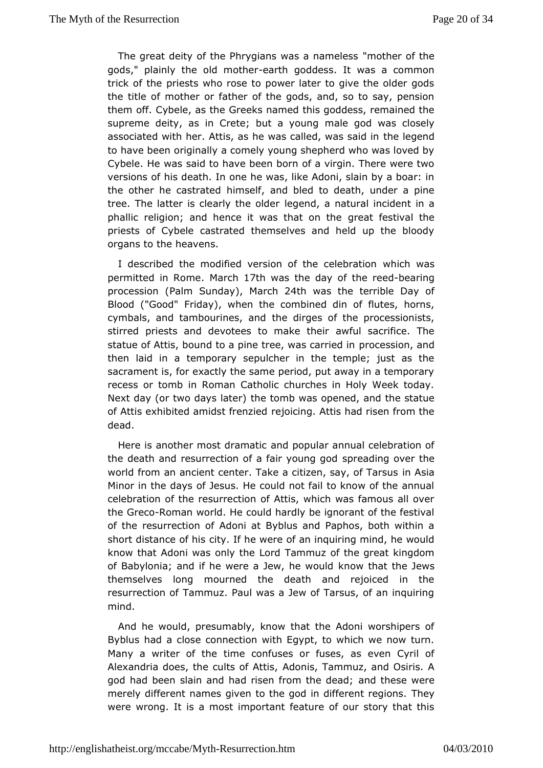The great deity of the Phrygians wa''s mathemelesise gods," plainly the old-emanothheoroddess. It was a common trick of the priests who rose to power later to give the older the title moother or father of the gods, and, so to say, pensic them off. Cybele, Gasethes named this goddess, remained the supreme deity, as in Crete; burhadeygodgwas closely associated with her. Attis, as he was catheed, levges as aid in to have been originally a comely young shepherd who was love Cybele. He was said to have been born of a virgin. There wer versionshos death. In one he was, like Adoni, slain by a boar: the other he castramed if, and bled to death, under a pine tree. The latter is clearly leternd, dernatural incident in a phallic religion; and hence it was grieat of east throal the priests of Cybele castrated themselves and held up the bl organs to the heavens.

I described the modified version of the chicle what ion permitted in RoMhaech 7th was the day of thee aceiendg procession alm Sundamarch24th was the terrible Day of Blood ("GooFd" day), when the combined din of flutes, horns, cymbals, and tambourinesse dinges of the processionists, stirred priests and devotees to anwaikue sherifice. The statue of Attis, bound to a pine tree, pwease sarone, daimd then laid in a temporary sepulcher in the temple; just as sacrament is, for exactly the same period, put away in a temp recess bormb in Roman Catholic churches in Holy Week today Next day (or two day shibattom) b was opened, and the statue of Attis exhibited amidste freeincangd Attis had risen from the dead.

Here is another most darmadion potalignal annual celebration of the death and resurrection of a fasip ryecaudrig ggoder the world from an ancient center. Take a citizeim, Asaiya, of Tarsus Minor in the days of Jesus. He could not fail to know of the celebration of the resurrection of Attis, which was famous al theGrec-Roman world. He could hardly be ignorant of the festi of theesurrection of Adoni at Byblus and Paphos, both withi short distance **o**f this if he were of an inquiring mind, he would know that Adoni was olnd ydthammuz of the great kingdom of Babylonia; and if he were a Jekwn, owneth waxuut die Jews themselves long mourned the death and rejoiced in the resurrection of Tammuz. Paul was a Jew of Tarsus, of an inq mind.

And he would, presumably, know that the Adoni worshipers Byblusad a close connection with Egypt, to which we now tu Many a writer of timbee confuses or fuses, as even Cyril of Alexandria does, the cult $\triangle$   $\Delta$ dofn $\triangle$ sti $\overline{s}$ ammuz, and Osiris. A god had been slain and had risen framdtheesdeawdere merely different names given to the god in dTilfifeeyrent regions. were wrong. It is a most important feature of our story that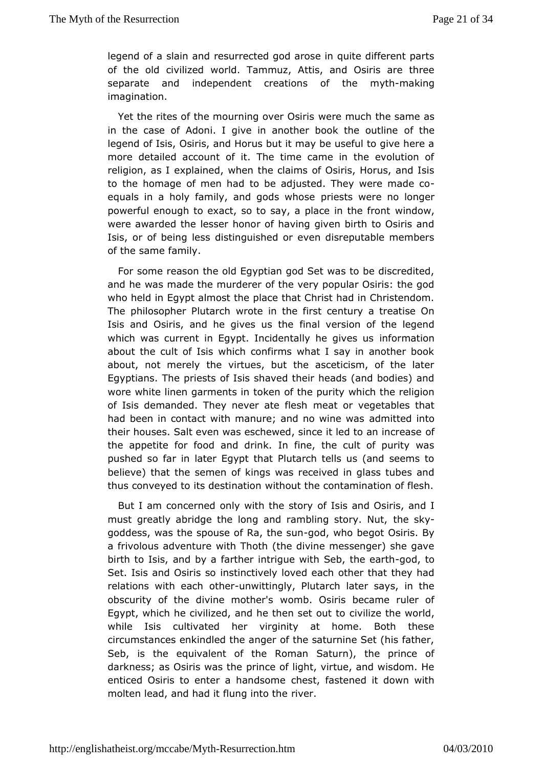legend  $\omega$  fslain and resurrected god arose in quite different parts of the old civiwiaredd. Tammuz, Attis, and Osiris are three separate and independent creatthensmyothnaking imagination.

Yet the rites of the mourning wow rear robosichis the same as in the case of Adoni. I give in another bobkththe outline legend of Isis, Osiris, and Horus but it may be useful to give more detailed account of it. The time came in the evolutio religion,  $x$ s destries and the claims of Osiris, Horus, and Ist to the homage of metro hand adjusted. They were made co equals in a holy family, and goords swhows eere no longer powerful enough to exact, so to say, a place in the front were awarded the lesser honor of having given birth to Osiri Isisor of being less distinguished or even disreputable meml of the safrae  $f(x)$ .

For some reason the old Egyptian god Set was to be discred and he was made the murderer of the very popular Osiris: the who held Eigypt almost the place that Christ had in Christendo The philosopher Plwtatehin the first century a treatise On Isis and Osiris, and he gives also the sion of the legend which was current in Egypt. Incidentallinformatives us about the cult of Isis which confirms what I say in another about, not merely the virtues, but the asceticism, of the  $\vdash$ Egyptians.  $\overline{p}$  hiests of Isis shaved their heads (and bodies) an wore white linen garmtortes inf the purity which the religion of Isis demanded. They never mated bles whe getables that had been in contact with manure; and and miwine whas their houses. Salt even was eschewed, since it ofed to an increase of the appetite for food and drink. In fine, the cult of purity pushed sar in later Egypt that Plutarch tells us (and seems believe) that the solem keings was received in glass tubes and thus conveyed to its dewithation the contamination of flesh.

But I am concerned only withofhlesist amyd Osiris, and I must greatly abridge the long and ramblithe est lowy. Nut, goddess, was the spouse of Rga, dthwe hsubegot Osiris. By a frivolous adventure with Thoth (the divine messenger) she birth to Isainsd by a farther intrigue with Seotopodt, he oearth Set. Isis and Osinisstiss octively loved each other that they had relations with  $\omega$  the bunder individually, Plutarch later says, in the obscurity of the divine moothhbe.r' Sosiris became ruler of Egypt, which he civilized, and he the inline the woorld, while Isis cultivated her virginity at home. Both the circumstances enkindled the anger of the saturnine Set (his f Seb, is the equivalent of the Roman Saturn), the prince of darkness; as Osiris prains the portight, virtue, and wisdom. He enticed Osiris to enter a thaned to manstened it down with molten lead, and had it flumgvento the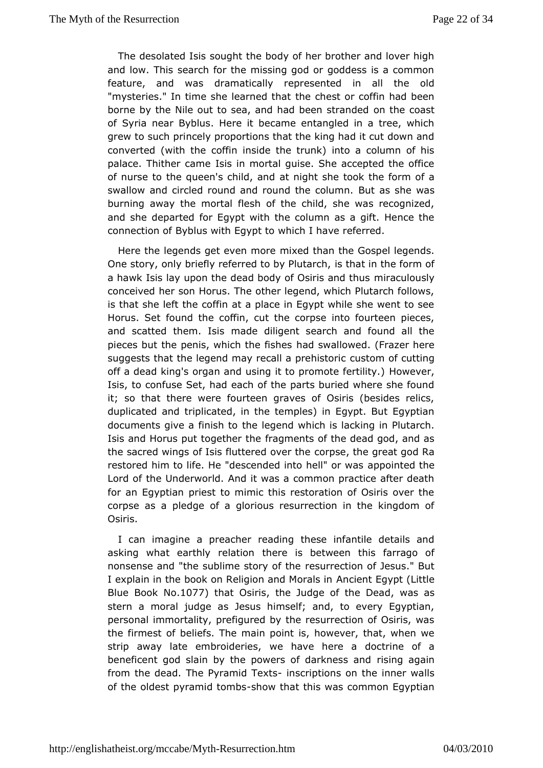The desolated Isis sought the body of her brother and lover and low. This search for the missing god or goddess is a common feature, and wdaamatically represented in all the old "mysteries." In time she leathreed htehsatt or coffin had been borne by the Nile out to sea, and had doneethes to can satted of Syria near Byblus. Here it became entangled in a tree, v grew to such princely proportions that the king had it cut dow converte (with the coffin inside the trunk) into a column of h palace. Thither Issasmen mortal quise. She accepted the office of nurse to the queen's cantilodig and the took the form of a swallow and circled round and round Butheassos bennwas burning away the mortal flesh of the child, she was recogni and she departed for Egypt with the column as a gift. Hence connectior Byblus with Egypt to which I have referred.

Here the legends get evmenxend the an the Gospel legends. One story, only briefly referred to sbyh Priluinathe, form of a hawk Isis lay upon the dead body of @isiaicsulaonudsltyhus conceived her son Horus. The other legend, which Plutarch fo is that she left the coffin at a place in Egypt while she went Horus. Sfeotund the coffin, cut the corpse into fourteen piece and scatted them. masslies diligent search and found all the pieces but the penis, which htande siwe salies wed. (Frazer here suggests that the legend may recall casporenhics ftocuitaing off a dead king's organ and using it to promot effertility.) Isis, to confuse Set, had each of the parts buried where she it; so that there were fourteen graves of Osiris (besides re duplicated amplicated, in the temples) in Egypt. But Egyptia documents give a finiteh legend which is lacking in Plutarch. Isis and Horus put togetrhagment the sof the dead god, and as the sacred wings of Isis flutter condiposite righter at god Ra restored him to life. He "descended inat p phoe hit" ed rthweas Lord of the Underworld. And it was a common practice after d for an Egyptian priest to mimic this restoration of Osiris ov corpse asplædge of a glorious resurrection in the kingdom of Osiris.

I can imagiane preacher reading these infantile details and asking what earthly rehateonis between this farrago of nonsense and "the sublime stessyurcrfecthion of Jesus." But I explain in the book on Religion AndieMotraElgsyport (Little Blue Book.1No  $7$  that Osiribe Judge of the Deads stern a moral judge as Jesus himself; and, to every Egypt personam mortality, prefigured by the resurrection of Osiris, v the firmest of fiefs. The main point is, however, that, when  $w_{\perp}$ strip away late embroiwdeerihe a here a doctrine of a beneficent god slain by the powers of ridsainkgneasgsainand from the dead. The Pyramid  $s\bar{c}$  eixptts on the inner walls of the oldest pyramids how bushat this was common Egyptian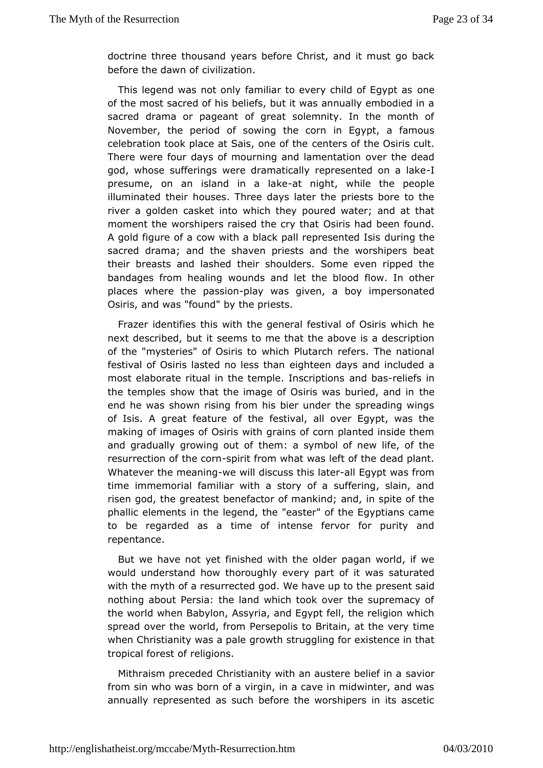doctrine thut between the art of the series christ, and it must go back  $before$  the dawn of cation.

This legend was not only familiar to every ohid of Egypt a of the most sacred of his beliefs, but it was annually embodie sacred rama or pageant of great solemnity. In the month o November, the perisod windig the corn in Egypt, a famous celebration took place at Saisce onters foth the Osiris cult. There were four days of mourning and vleame had lecend god, whose sufferings were dramatically represented on a la presume, on an island inataniahe, while the people illuminated thewises. Three days later the priests bore to the river a golden caskwhichtothey poured water; and at that moment the worshipers raised tosicirsy had theen found. A gold figure of a cow with a black pall despires set these d Isis sacred drama; and the shaven priests and the worshipers I theim reasts and lashed their shoulders. Some even ripped bandages from hewadiungds and let the blood flow. In other places where the poalsasyiowas givaenboy impersonated Osiris, and was "found" by the priests.

Fraze identifies this with the general festival of Osiris which next describedit but it is to me that the above is a description of the "mysteries" of Weshirds Polutarch refers. The national festival of Osiris lasted noeilgehstseethadhays and included a most elaborate ritual in the templean on subarrespontive frasin the temples show that the image of Osiris was aburied, and in end he was shown rising from his bier under the spreading v of Isis.  $g$ A eat feature of the festival, all over Egypt, was the making of imag@ssiofs with grains of corn planted inside them and gradually growing tho eum io a symbol of new life, of the resurrection of the pictinfrom what ewtasf the dead plant. Whatever the me-awneinwgill discuss th-ias lEE agty-eprt was from time immemorial familiar with a story of a suffering, slain, risen god, the greatest benefactor of mankind; and, in spite phallie dements in the legend, the "easter" of the Egyptians  $c\epsilon$ to be regarded as me of intense fervor for purity and repentance.

But we have nofinyiesthed with the older pagan world, if we would understand how thoroughdavt every was saturated with the myth of a resurrected god. We phraevesee nutp stabid he nothing about Persia: the land which took over the supremac theworld when Babylon, Assyria, and Egypt fell, the religion v spread over wheld, from Persepolis to Britain, at the very tim when Christianity was prao up tahles truggling for existence in that tropical forersetliggfions.

Mithraism preceded Christianity with an aussatveiroer belief in a from sin who was born of a virgin, in a cave in midwinter, and annually represented as such before the worshipers in its a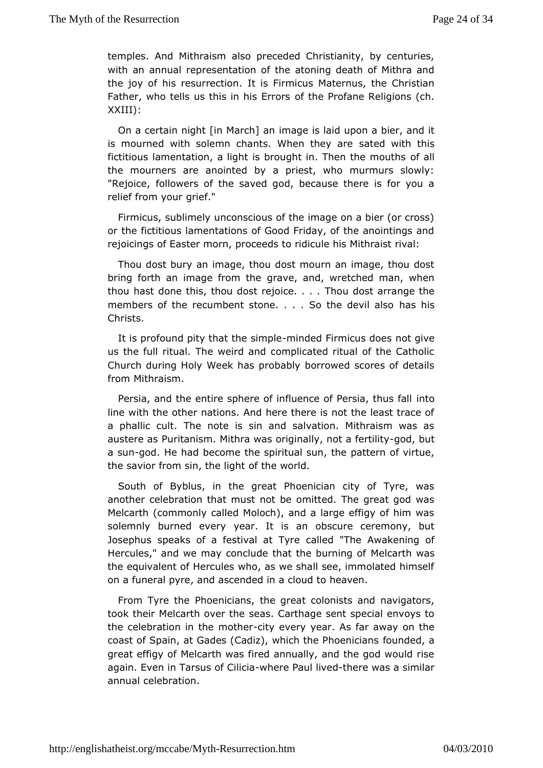temples. A Midthraism also preceded Christianity, by centuries with an annuegolresentation of the atoning death of Mithra and the joy of his resurdecits offirmicus Maternus, the Christian Father, who tells us this ino his het reports and Religions (ch. XXIII):

On a certain night [in Miamaraband] as laid upon a bier, and it is mourned with solemn chants. Wheated be with rethis fictitious lamentation, a light is brought in. of has the mouths the mourners are anointed by a priest, who murmurs slow "Rejoicte, llowers of the saved god, because there is for you relief from goruerf."

Firmicus, sublimely unconscious of the image on a bier (or  $\epsilon$ or the fictitious lamentations of Good Friday, of the anointing rejoicinogfs Easter morn, proceeds to ridicule his Mithraist rival

Thou dost baury image, thou dost mourn an image, thou dost bring forth an image from rue beand, wretched man, when thou hast done this, thou dost rehioucelost arrange the members of the recumbent stone. . . . Sohahse holosyil also Christs.

It is profound pity that t-Inneinsdiendolleirmicus noto easive us the full ritual. The weird and complicated ritual of the  $C_i$ Church during Holy Week has probably borrowed scores of  $d\cdot$ fromMithraism.

Persia, and the entire sphere of influence  $\dot{\alpha}$  intersia, thus fall line with the other nations. And here there is not the least tr a phallic cult. The note is sin and salvation. Mithraism wa austere Pasritanism. Mithra was originally, good, ab the rtility a su-mod. He had bome the spiritual sun, the pattern of virtue, the savior from sin, to the thing hutorld.

South of Byblus, in the great Phoenician city of Tyre, another celebration that must not be omitted. The great god Melcar (bommonly called Moloch), and a large effigy of him w solemnly burned eyeeary. It is an obscure ceremony, but Josephus speaks of a festivaal beetd T'yTrbee Awakening of Hercules," and we may conclude that the lobalent ming as f the equivalent of Hercules who, as we shall see, immolated h on a funeral pyre, and ascended in a cloud to heaven.

From Tyre Phheoenicians, the great colonists and navigators took their Melcarth osveersth@arthage sent special envoys to the celebration in the cm pthere wear. As far away on the coast of Spain, at Gades (Cadiz), which ftchuen Pehob, e nicians great effigy of Melcarth was fired annually, and the god woul again. Even in Tarsus whe Cridi Piaul libede was a similar annuadelebration.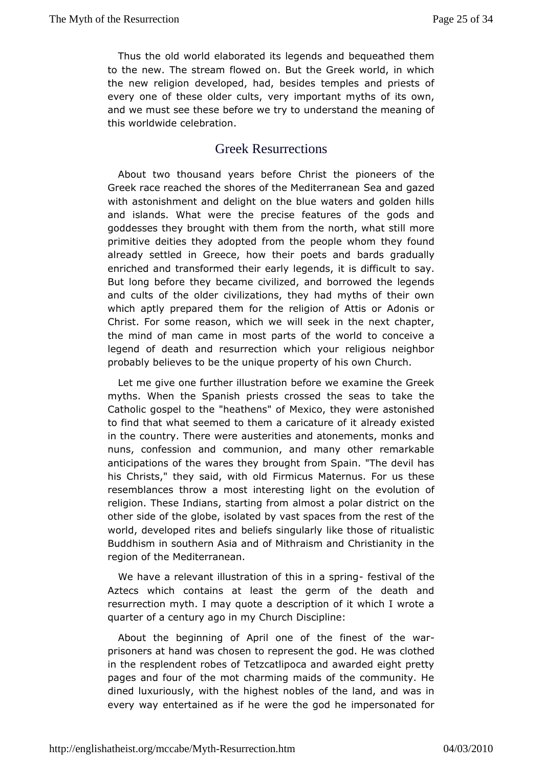Thus the old world elaborated its legends and bequeathed  $t$ to the new. The stream flowed on. But the Greek world, in w the new religdieowneloped, had, besides temples and priests of every one of these older eroul through that myths of its own, and we must see these befor an we the trained the meaning of this worldwide celebration.

### Greek Resurrections

About two thousand yearsC he is bother pioneers of the Greek race reached the shores of the SMead atmedra a pad with astonishment and delight on the blue waters and golden and islands. What were the precise features of the gods goddesses the fow ght with them from the north, what still more primitive deities they farotomptehole people whom they found already settled in Greece, how the brarpdose to sraachudally enriched and transformed their early legendssavt is difficult t But long before they became civilized, and borrowed the leg and culos the older civilizations, they had myths of their own which aptly prepthe for the religion of Attis or Adonis or Christ. For some reason, whichewle in the next chapter, the mind of man came in most parts toof the cworld to legend of death and resurrection which your religious neighbor probably believes to be the unique property of his own Church.

Let me giovree further illustration before we examine the Gree myths. When the Sppaniesshis crossed the seas to take the Catholic gospel to the "healten eincs", officy were astonished to find that what seemed to them a calrieatuy existed in the country. There were austerities and atonements, monks nuns, confession and communion, and many other remarka anticipations ow athes they brought from Spain. "The devil has his Christs," they said, Fwinth colled Maternus. For us these resemblances throw a most interesttimeg divgoliution of religion. These Indians, starting from almosthe athreeolar district other side of the globe, isolated by vast spaces from the rest world, developed rites and beliefs singularly like those of rit Buddhisim southern Asia and of Mithraism and Christianity in region of Meediterranean.

We have a relevant illustration of this stinval sopfrithe Aztecs which contains at least the germ of the death  $\varepsilon$ resurrection myth. I may quote a description of it which I wr quarter oceantury ago in my Church Discipline:

About the beginning of Apritheonfein est of the war prisoners at hand was chosen to represent dlhoethgeodd. He was in the resplendent robes of Tetzcatlipoca and awarded eight pagesand four of the mot charming maids of the community. He dined luxuriouslyth with the highest nobles of the land, and was in every way entertained as ifheegwerke impersonated for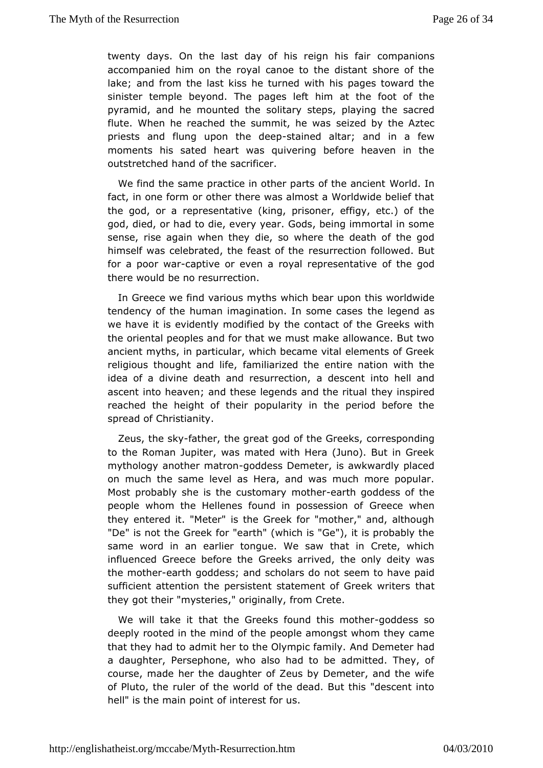twenty days. On the last day of his reoimppahishsair accompanied him on the royal canoe to the distant shore of lake and from the last kiss he turned with his pages toward sinister tembolwond. The pages left him at the foot of the pyramid, and he mount solitary steps, playing the sacred flute. When he reached the summsidized by as the Aztec priests and flung upon the ided paltar; and in a few moments his sated heart was quivering before heaven in outstretched hatched stacrificer.

We find the same practice in other parts of I the mancient fact, in one form or other there was almost a Worldwide belie the god, or a representative (king, prisoner, effigy, etc.) of god, died, had to die, every year. Gods, being immortal in som sense, rise again whedmeths where the death of the god himself was celebrated, the freetssurred the notion followed. But for a poor-waaptive or even a royal reproefsetheatgoed there would be no resurrection.

In Greece we find varioushim btbs ar upon this worldwide tendency of the human imagination. In hesome careases we have it is evidently modified by the contact of the Greeks the oriental peoples and for that we must make allowance. Bu ancient mytimsparticular, which became vital elements of Gree religious thought and d milifien, rized the entire nation with the idea of a divine death and ressudescteon, into hell and ascent into heaven; and these legendsthand ithe piritual reached the height of their popularity in the period before spread of Christianity.

Zeus, the -*t*aty her, the great god of the oGrees op losn, ding to the Roman Jupiter, was mated with Hera (Juno). But in G mythology another mgaotdrolens Demeter, is awkwardly placed on much the same as Hera, and was much more popular. Most probably she is the coustbeneearly the goddess of the people whom the Hellenes found in possessessiowheonf they entered it. "Meter" is the Greek for "mother," and, alth "De" is not the Greek for "earth" (which is "Ge"), it is probat same word an earlier tongue. We saw that in Crete, which influenced Greece beforreeks arrived, the only deity was the mothearth goddess; and scholars ed not ave paid sufficient attention the persistent statement tbatGreek writers they got their "mysteries," originally, from Crete.

We will take hatt the Greeks found this om the serso deeply rooted in the mime oopflehamongst whom they came that they had to admit her to the Ol& mooding enamidely. had a daughter, Persephone, who also had to be admitted. They course, made her the daughter of Zeus by Demeter, and the of Pluto, the ber of the world of the dead. But this "descent in hell" is the maino point erest for us.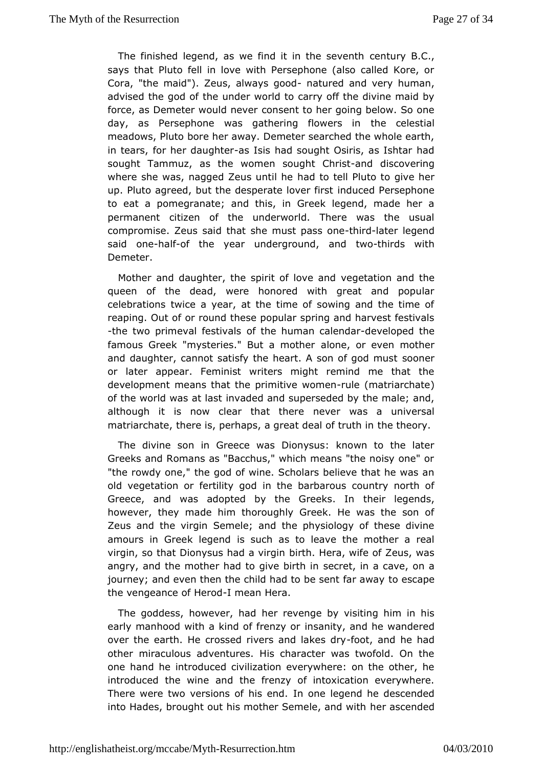The finished legend, as we find it in entrear sebegih says that Pluto fell in love with Persephone (also called Kc Cora, "the maid"). Zeus, alwags tu geod dand very human, advised the god beounder world to carry off the divine maid by force, as Demeter would to meever to her going below. So one day, as Persephone was gathering the weese sithal meadows, Pluto bore her away. Demeter searched the whole e intears, for her da-mashters had sought Osiris, as Ishtar had sought Tammus, the women sought-a6drist scovering where she was, nagged Zeuband to the Huto to give her up. Pluto agreed, but the desperaitred uccent Fierrsstephone to eat a pomegranate; and this, in Greek legend, made he permanent citizen of the underworld. There was the use compromise. Zeusthsaatids he must pastshiordlater legend said onheal-fof the year underground two hirds with Demeter.

Mother and daughter, the spirit wefglext and dand the queen of the dead, were honored with great and popul celebrations twice a year, at the time of sowing and the tin reaping. Oudroffound these popular spring and harvest festival -the two primeval festival buman caldedar oped the famous Greek "mysteries." Butabomeqthoereven mother and daughter, cannot satisfy the heart. A somoncefr god must or later appear. Feminist writers might remind me that t developmemeans that the primitive rundem (ematriarchate) of the world was antvlaadsed and superseded by the male; and, although it is now clear the terme weas a universal matriarchate, there is, perhaps, a greatt death ob thy uth in

The divine son in Greece was Dionysus: known to the la Greeks and Romans as "Bacchus," which means "the noisy on "the rowdy one; god of wine. Scholars believe that he was ar old vegetation or fertiilmitythgeodbarbarous country north of Greece, and was adopted by the Ghreeierk sleglennds, however, they made him thoroughly Greek. He was the son Zeusand the virgin Semele; and the physiology of these div amours in Greek leggesnudch as to leave the mother a real virgin, so that Dionysus haddirahviHgeima, wife of Zeus, was angry, and the mother had to gis enecribe it thin in a cave, on a journey; and even then the child had to be to see senctape away the vengeance of-Henrecoach Hera.

The goddess, however reprhaed venge by visiting him in his early manhood with a kind of infsenity, oand he wandered over the earth. He crossed rivers einod thank de shed myad other miraculous adventures. His character was twofold. On onehand he introduced civilization everywhere: on the other, introduced the awnidethe frenzy of intoxication everywhere. There were two versions of nhicsnendegend he descended into Hades, brought out his mother Semheleas acne on dweidth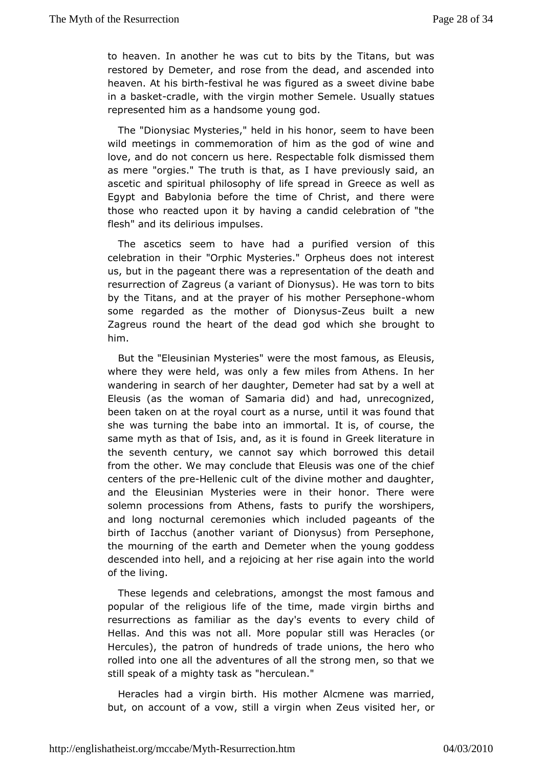to heaven. In another he was cut to bits by the Titans, but restored by Demeter, and rose from the dead, and ascended heaven. At bhirs Hestival he was figured as a sweet divine babe in a bas-certadle, with the virgin mother Semele. Usually statues represented him as a handscomoed. young

The "Dionysiac Mysteries," held in his honor, seem to have wildmeetings in commemoration of him as the god of wine a love, and do not concheene. Respectable folk dismissed them as mere "orgies." The truth ishtah et, pasviously said, an ascetic and spiritual philosophy of Glifeee csepraesa dweinlas Egypt and Babylonia before the time of Christ, and there  $\overline{y}$ those who reacted upon it by having a candid celebration of flesh" and det sinus impulses.

The ascetics seem to have had a purified isversion of celebration in their "Orphic Mysteries." Orpheus does not in us, bun the pageant there was a representation of the death and resurrectio Zagfreus (a variant of Dionysus). He was torn to bit by the Titans, and partaxible of his mother Pe-ws hemone some regarded as the moDhenysuEseus built a new Zagreus round the heart of the dead gos do wight to the brought to she him.

But the "Eleusinian Mysteries" were the mE ost stiam ous, as where they were held, was only a few miles from Athens. In wandering in search of her daughter, Demeter had sat by a w Eleusis (tahse woman of Samaria did) and had, unrecognized, been taken on at theoworvals a nurse, until it was found that she was turning the babeiminmtoortaan. It is, of course, the same myth as that of Isis, and, as in iG risse koluin drature in the seventh century, we cannot say which detoaib wed this from the other. We may conclude that Eleusis was one of the centerosf the phellenic cult of the divine mother and daughter, and the EleusiMiyas teries were in their honor. There were solemn processions from Athemspufafsyts the worshipers, and long nocturnal ceremonies which incluided the pageants birth of lacchus (another variant of Dionysus) from Perseph themourning of the earth and Demeter when the young godde descended intoahella rejoicing at her rise again into the world of the living.

Thes begends and celebrations, amongst the most famous and popular of the relliige ows the time, made virgin births and resurrections as familiar as et heenteday's every child of Hellas. And this was not all. More poblet ancies il (own as Hercules), the patron of hundreds of trade unions, the hero rolled into one all the adventures of all the strong men, so that still speoafka mighty task as "herculean."

Heracles had a virgin birth. **Alls ment end avas married**, but, on account of a vow, still a virgin wheer, Zoens visited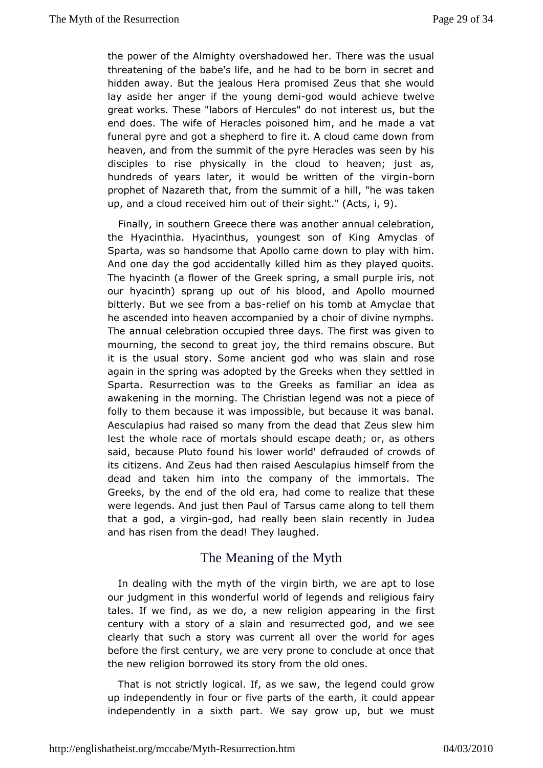the power of the Almighty overshadowed her. There was the u threatening of the babe's life, and he had to be born in secret hidden aw $B$  w.t the jealous Hera promised Zeus that she would lay aside her angervoifunthedemoid would achieve twelve great works. These "labors of Heortc unless rest us, but the end does. The wife of Heracles poisonendadema and he funeral pyre and got a shepherd to fire it. A cloud came down heaven, and from the summit of the pyre Heracles was seen b disciples rise physically in the cloud to heaven; just as, hundreds of years lateulditbe written of the ovirgin prophet of Nazareth that, from thæ bulmminteowas taken up, and a cloud received him out of thei, r9)sight." (Acts,

Finally, in southern Greece there was another annual celebr the Hyacinthia. Hyacinthus, youngest son of King Amyclas Sparta, was has nodsome that Apollo came down to play with him. And one day the a gooid dentally killed him as they played quoits. The hyacinth (a floweGroefe khspring, a small purple iris, not our hyacinth) sprang up out of a his bood blo mourned bitterly. But we see fromelize fbas his tomb at Ahmaytclae he ascended into heaven accompanied by a choir of divine nyi The annucallebration occupied three days. The first was given mourning, the second atto joy, the third remains obscure. But it is the usual story. Somgodnwiheontwas slain and rose again in the spring was adopted by the hespeedstal which in Sparta. Resurrection was to the Greeks as familiar an ide awakening in the morning. The Christian legend was not a pie folly to the encause it was impossible, but because it was bana Aesculapius had rainsændy sforom the dead that Zeus slew him lest the whole race of mortals as the udeath; or, as others said, because Pluto found his lower woonflot' rodwed sa worled its citizens. And Zeus had then raised Aesculapius himself from dead and taken him into the company of the immortals. T Greeks, by the ethole oofid era, had come to realize that these were legends. And just the Translation along to tell them that a god, a vgogdi,nhad really beene sseanithly in Judea and has risen from the dead! They laughed.

### The Meaning of the Myth

In dealing with the mythoring inthusirth, we are apt to lose our judgment in this wonderful worked of releiggeinds fairy tales. If we find, as we do, a new religion bippearing in the century with a story of a slain and resurrected god, and we clearlty hat such a story was current all over the world for  $a<sub>j</sub>$ before the tientury, we are very prone to conclude at once that the new religion boirtrsows teadry from the old ones.

That is not strictly logical. If, the slow get samular grow up independently in four or five parts coofulled appeart arthur it independently in a sixth part. We say grow up, but we m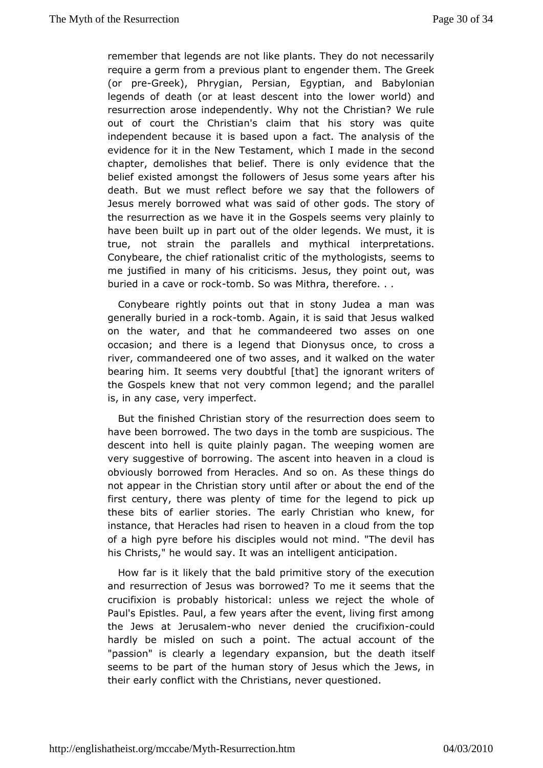remembethat legends are not like plants. They do not necessa require a germ fporeviaous plant to engender them. The Greek (or  $pf@reek$ ), Phrygian, P $efegsj$ an, and Babylonian legends of death (or at least descent wortholdtheanlook were resurrection arose independently. Why not the Christian? We out of court the Christian's claim that his story was qu independent becaussebased upon a fact. The analysis of the evidence for it in the New Twehsitral terminade in the second chapter, demolishes that belief. Tehweirdeenise on hight the belief existed amongst the followers of Jesushsome years aft death. But we must reflect before we say that the follower Jesus merboby rowed what was said of other gods. The story o the resurrection as we ihaw be Gospels seems very plainly to have been built up in part **older of the older of the must**, it is true, not strain the parallels and interpretime it cantions. Conybeare, the chief rationalist critic of the mas theologists, me justified in many of his criticisms. Jesus, they point out buried in a cave domotck So was Mithra, therefore. . .

Conybeareghtly points out that in stony Judea a man was generally buriedoichtamb. Again, it is said that Jesus walked on the water, and thoad milmeandeered two asses on one  $occasion;$  and there is a legend thant  $\Phi$ , io thoy scuress a river, commandeered one of two asses, and wtatwalked on the bearing him. It seems very doubtful [that] the ignorant write theGospels knew that not very common legend; and the para is, in any case impeer of ect.

But the finished Christian story of the resurnt ection does se have been borrowed. The two days in the tomb are suspicious descent imteoll is quite plainly pagan. The weeping women ar very suggestive of borTrhoeviansgcent into heaven in a cloud is obviously borrowed from Heracleens. A sadhse os things do not appear in the Christian story untiltheat tendorofabloment first century, there was plenty of time for the legend to pic these bits of earlier stories. The early Christian who knew instance, the atacles had risen to heaven in a cloud from the to of a high pyre befodischpstes would not mind. "The devil has his Christs," he would say inttewas eat anticipation.

How far is it likely that the basine pyrimonititiive execution and resurrection of Jesus was borrowed? tThe atmit heit seems crucifixion is probably historical: unless we reject the who Paul's Epistles. Paul, a few years after the event, living first the Jewast Jerusalwe monever denied the croucountidxion hardly be misled on spootht.a The actual account of the "passion" is clearly a legendary extphænsdioennt,h biut self seems to be part of the human story of Jesus which the Jew their early conflict with the Christians, never questioned.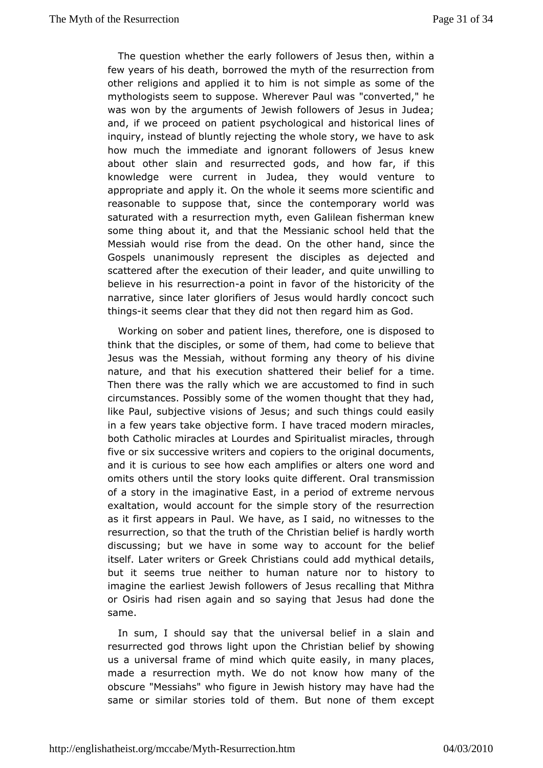The question whether the early followers of Jesus then, within few years of his **beanto** wed the myth of the resurrection from other religions and applied sitn bot bimple as some of the mythologists seem to suppose. Where **ven Perte**d was he was won by the arguments of Jewish followers of Jesus in J and, if we proceed on patient psychological and historical li inquirynstead of bluntly rejecting the whole story, we have to how much timemediate and ignorant followers of Jesus knew about other slain and resquordscteachd how far, if this knowledge were current in Judea, they wbald venture appropriate and apply it. On the whole it seems more scientif reasonable to suppose that, since the contemporary world saturated with saurrection myth, even Galilean fisherman knew some thing about it, athob tMassianic school held that the Messiah would rise from the deatche  $O$  that the hand, since the Gospels unanimously represent the disciples addes dejected scattered after the execution of their leader, and quite unwil believe in his resu-arepodint in favor of the historicity of the narrative, since later glorifiers of Jesus would hardly concod thing stseems clear that they did not then regard him as God.

Working on sobepaathednt lines, therefore, one is disposed to think that the disciples, ob the somm, e had come to believe that Jesus was the Messiah, without forming of hips divine nature, and that his execution shattered theme belief for a Then there was the rally which we are accustomed to find in circumstances. Possibly some of the women thought that they like Pasu, bjective visions of Jesus; and such things could ea in a few yearsottajle ctive form. I have traced modern miracles, both Catholic miracles a and of Sprodies it ualist miracles, through five or six successive writers and compigensal to documents, and it is curious to see how each ampoinfeiews ord and theirs omits others until the story looks quite troainf semiesnstion Oral of a story in the imaginative East, in a period of extreme ne exaltation, would account for the simple story of the resurre as it fing the ars in Paul. We have, as I said, no witnesses to resurrection, sontch atuth of the Christian belief is hardly worth discussing; but we heaven einway to account for the belief itself. Later writers or Greek could disatdadn snythical details, but it seems true neither to human nahtiusitory otro to imagine the earliest Jewish followers of Jesus recalling that or Osiris had risen again and so saying that Jesus had don same.

In sum, I should say that the universal belief in a slain resurrected tchard ws light upon the Christian belief by showing us a universal frame wthimo hnot uite easily, in many places, made a resurrection myth. We do not makimy wof how we obscure "Messiahs" who figure in Jewish history may have ha same or similar stories told of them. But none of them ex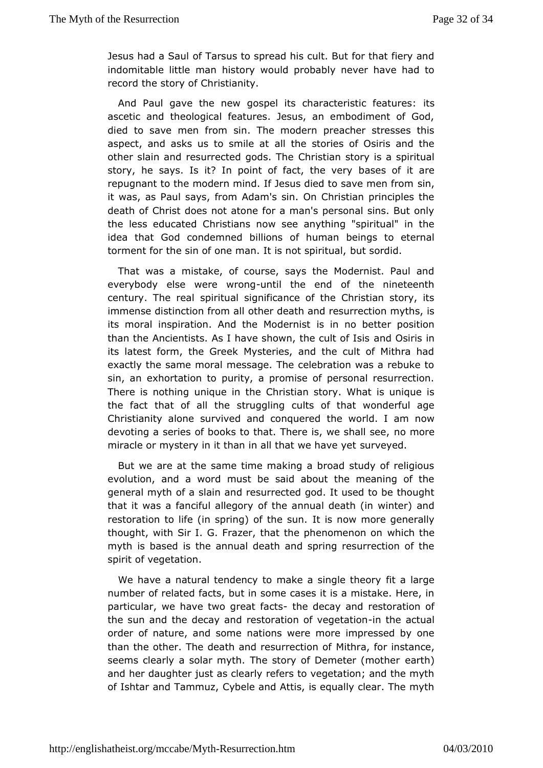Jesus had a  $\mathcal{S}$ fa $\overline{\mathbf{u}}$  arsus to spread his cult. But for that fiery an indomitable littlehisstany would probably never have had to record the sto Chrostianity.

And Paul gave the new gospel its charactersic features ascetic and theological features. Jesus, an embodiment of died to samen from sin. The modern preacher stresses this aspect, and asks us to amitheat atories of Osiris and the other slain and resurrected Cghord stial mestory is a spiritual story, he says. Is it? In point of fbatseshefvietryare repugnant to the modern mind. If Jesus died tsoins, ave men from it was, as Paul says, from Adam's sin. On Christian principl death  $C$ fhrist does not atone for a man's personal sins. But o the less educ& herdstians now see anything "spiritual" in the idea that God condemned obihium an beings to eternal torment for the sin of one man. It is but but sordid tual,

That was a mistake, of course, says the Modernist. Paul everybody else were-uwridnothe end of the nineteenth century. The sperlitual significance of the Christian story, it immense distinction fortohmeradleath and resurrection myths, is its moral inspiration. And the is Mondernot is the team position than the Ancientists. As I have shown, at the Ositisfinsis its latest form, the Greek Mysteries, and the cult of Mithra exactly the same moral message. The celebration was a rebu sin, a exhortation to purity, a promise of personal resurrecti There is nothimigue in the Christian story. What is unique is the fact that of astirulogegling cults of that wonderful age Christianity alone survived and the envanuel dedl am now devoting a series of books to that. There ns, mwoereshall see, miracle or mystery in it than in all that twey healve yet

But we are at the same time making a broad study of relig evolution, and a word must be said about the meaning of general myth solfaian and resurrected god. It used to be thought that it was a fanciful cafliengeo raynnual death (in winter) and restoration to life (in spring) lofish meo wumore generally thought, with Sir I. G. Frazer, that the publie intermediation on myth is based is the annual death and spring resurrection o spirit of vegetation.

We have a natural tendency to make a fistinegilleartgheeory number of related facts, but in some cases it is a mistake.  $H_1$ particular, we have two g-relast face and restoration of the sun athobe decay and restoration of-ivne gheetataicothual order of nature, and nastion resolvere more impressed by one than the other. The death and restuinthereation profinstance, seems clearly a solar myth. The story of Deemether (mother and her daughter just as clearly refers to vegetation; and the ofIshtar and Tammuz, Cybele and Attis, is equally clear. The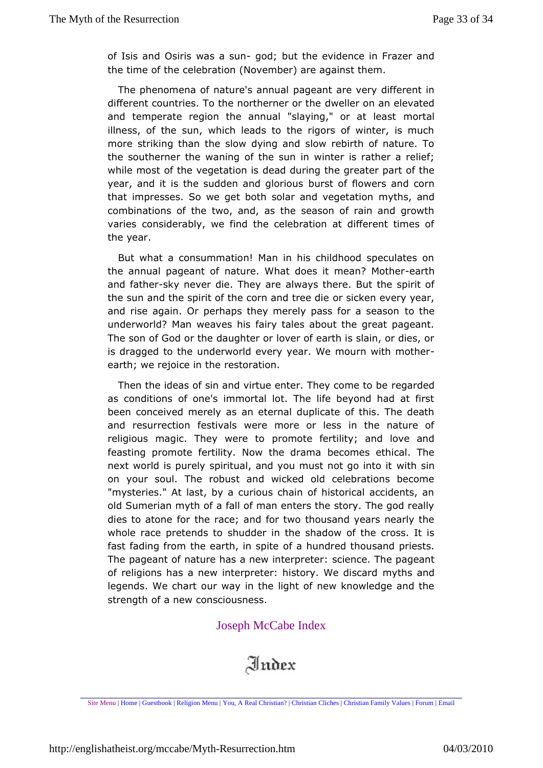of Isis a  $\Omega$  diris was a  $\sigma$  and: but the evidence in Frazer and the time of cthe debration (November) are against them.

The phenomena of nature's ageantlare very different in different countries. To the northerweller or the men elevated and temperate region the annual "slayingm" or dal at least illness, of the sun, which leads to the rigors of winter, is morestriking than the slow dying and slow rebirth of nature. the southerner wahing of the sun in winter is rather a relief; while most of the vegedætadndusring the greater part of the year, and it is the sudden and ungshonoint of solvers and corn that impresses. So we get both solar annual these,  $q$  and tion combinations of the two, and, as the season of rain and gr variesonsiderably, we find the celebration at different times the year.

Butwhat a consummation! Man in his childhood speculates the annual pageamat of nature. What does it meane a Mather and fathseky never die. The wan west there. But the spirit of the sun and the spirit of the cornoaned cheene edvery year, and rise again. Or perhaps they merely pats the a season underworld? Man weaves his fairy tales about the great pag The soon God or the daughter or lover of earth is slain, or die is dragged tou hide rworld every year. We mourn -with mother earth; we rejoice riens to beation.

Then the ideas of sin and virtue enter. Treegardeende to be as conditions of one's immortal lot. The life beyond had at beenconceived merely as an eternal duplicate of this. The death and resurrecfiecsntivals were more or less in the nature of religious magic. They we mot fortility; and love and feasting promote fertility. Now bteh condexamenthical. The next world is purely spiritual, and you muwithostime into it on your soul. The robust and wicked old celebrations bec "mysteries." At last, by a curious chain of historical accider oldSumerian myth of a fall of man enters the story. The god  $r_{\text{f}}$ dies to atoue the race; and for two thousand years nearly th whole race pretens that der in the shadow of the cross. It is fast fading from the earthofin bundered thousand priests. The pageant of nature has a new sioniteen peret Telme pageant of religions has a new interpreter: histomyth we and dscard legends. We chart our way in the light of new knowledge and strength of a new consciousness.

Joseph McCabbndex

Site Menu| Home| Guestbook Religion Menu| You, A Real Christian PChristian Cliches Christian Family ValuesForum| Email